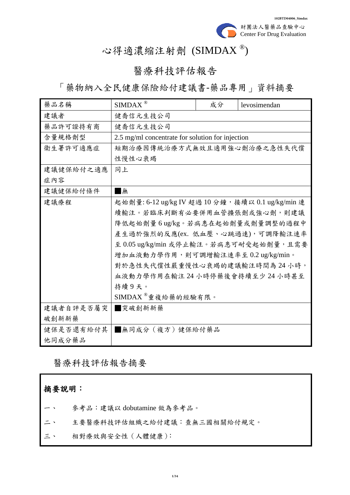

# $\sim$ 得適濃縮注射劑 (SIMDAX®)

# 醫療科技評估報告

「藥物納入全民健康保險給付建議書-藥品專用」資料摘要

| 藥品名稱      | $SIMDAX$ <sup>®</sup>                             | 成分 | levosimendan |
|-----------|---------------------------------------------------|----|--------------|
| 建議者       | 健喬信元生技公司                                          |    |              |
| 藥品許可證持有商  | 健喬信元生技公司                                          |    |              |
| 含量規格劑型    | 2.5 mg/ml concentrate for solution for injection  |    |              |
| 衛生署許可適應症  | 短期治療因傳統治療方式無效且適用強心劑治療之急性失代償                       |    |              |
|           | 性慢性心衰竭                                            |    |              |
| 建議健保給付之適應 | 同上                                                |    |              |
| 症内容       |                                                   |    |              |
| 建議健保給付條件  | 無                                                 |    |              |
| 建議療程      | 起始劑量: 6-12 ug/kg IV 超過 10 分鐘, 接續以 0.1 ug/kg/min 連 |    |              |
|           | 續輸注。若臨床判斷有必要併用血管擴張劑或強心劑,則建議                       |    |              |
|           | 降低起始劑量6ug/kg。若病患在起始劑量或劑量調整的過程中                    |    |              |
|           | 產生過於強烈的反應(ex. 低血壓、心跳過速),可調降輸注速率                   |    |              |
|           | 至 0.05 ug/kg/min 或停止輸注。若病患可耐受起始劑量,且需要             |    |              |
|           | 增加血液動力學作用,則可調增輸注速率至0.2 ug/kg/min。                 |    |              |
|           | 對於急性失代償性嚴重慢性心衰竭的建議輸注時間為24小時,                      |    |              |
|           | 血液動力學作用在輸注 24 小時停藥後會持續至少 24 小時甚至                  |    |              |
|           | 持續9天。                                             |    |              |
|           | $SIMDAX$ <sup>®</sup> 重複給藥的經驗有限。                  |    |              |
| 建議者自評是否屬突 | ■ 突破創新新藥                                          |    |              |
| 破創新新藥     |                                                   |    |              |
| 健保是否還有給付其 | ■無同成分(複方)健保給付藥品                                   |    |              |
| 他同成分藥品    |                                                   |    |              |

醫療科技評估報告摘要

| 摘要說明:                    |                             |  |
|--------------------------|-----------------------------|--|
| $\overline{\phantom{0}}$ | 參考品:建議以 dobutamine 做為參考品。   |  |
| 二、                       | 主要醫療科技評估組織之給付建議:查無三國相關給付規定。 |  |
| 三、                       | 相對療效與安全性 (人體健康):            |  |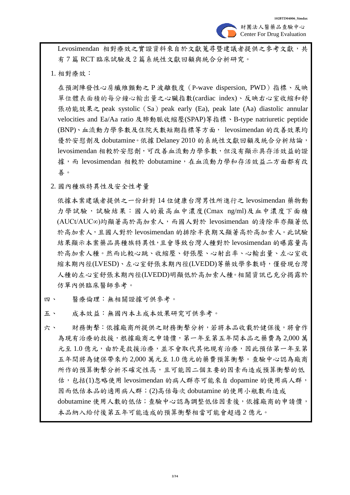

財團法人醫藥品查驗中心 Center For Drug Evaluation

Levosimendan 相對療效之實證資料來自於文獻蒐尋暨建議者提供之參考文獻,共 有 7 篇 RCT 臨床試驗及 2 篇系統性文獻回顧與統合分析研究。

1. 相對療效:

在預測陣發性心房纖維顫動之 P 波離散度(P-wave dispersion, PWD)指標、反映 單位體表面積的每分鐘心輸出量之心臟指數(cardiac index)、反映右心室收縮和舒 張功能效果之 peak systolic (Sa) peak early (Ea), peak late (Aa) diastolic annular velocities and Ea/Aa ratio 及肺動脈收縮壓(SPAP)等指標、B-type natriuretic peptide (BNP)、血流動力學參數及住院天數短期指標等方面, levosimendan 的改善效果均 優於安慰劑及 dobutamine。依據 Delaney 2010 的系統性文獻回顧及統合分析結論, levosimendan 相較於安慰劑,可改善血流動力學參數,但沒有顯示具存活效益的證 據,而 levosimendan 相較於 dobutamine,在血流動力學和存活效益二方面都有改 善。

2. 國內種族特異性及安全性考量

依據本案建議者提供之一份針對 14 位健康台灣男性所進行之 levosimendan 藥物動 力學試驗,試驗結果:國人的最高血中濃度(Cmax ng/ml)及血中濃度下面積 (AUCt/AUC∞)均顯著高於高加索人,而國人對於 levosimendan 的清除率亦顯著低 於高加索人,且國人對於 levosimendan 的排除半衰期又顯著高於高加索人。此試驗 結果顯示本案藥品具種族特異性,且會導致台灣人種對於 levosimendan 的曝露量高 於高加索人種。然而比較心跳、收縮壓、舒張壓、心射出率、心輸出量、左心室收 縮末期內徑(LVESD)、左心室舒張末期內徑(LVEDD)等藥效學參數時,僅發現台灣 人種的左心室舒張末期內徑(LVEDD)明顯低於高加索人種。相關資訊已充分揭露於 仿單內供臨床醫師參考。

- 四、 醫療倫理:無相關證據可供參考。
- 五、 成本效益:無國內本土成本效果研究可供參考。
- 六、 財務衝擊:依據廠商所提供之財務衝擊分析,若將本品收載於健保後,將會作 為現有治療的救援,根據廠商之申請價,第一年至第五年間本品之藥費為 2,000 萬 元至 1.0 億元,由於是救援治療,並不會取代其他現有治療,因此預估第一年至第 五年間將為健保帶來約 2,000 萬元至 1.0 億元的藥費預算衝擊。查驗中心認為廠商 所作的預算衝擊分析不確定性高,且可能因二個主要的因素而造成預算衝擊的低 估,包括(1)忽略使用 levosimendan 的病人群亦可能來自 dopamine 的使用病人群, 因而低估本品的適用病人群;(2)高估每次 dobutamine 的使用小瓶數而造成 dobutamine 使用人數的低估;查驗中心認為調整低估因素後,依據廠商的申請價, 本品納入給付後第五年可能造成的預算衝擊相當可能會超過 2 億元。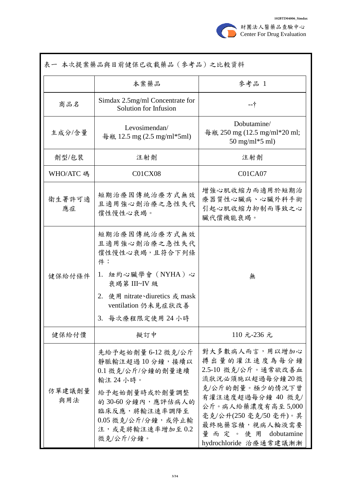



財團法人醫藥品查驗中心 Center For Drug Evaluation

|               | 本案藥品                                                                                                                                                                                   | 參考品 1                                                                                                                                                                                                 |
|---------------|----------------------------------------------------------------------------------------------------------------------------------------------------------------------------------------|-------------------------------------------------------------------------------------------------------------------------------------------------------------------------------------------------------|
| 商品名           | Simdax 2.5mg/ml Concentrate for<br>Solution for Infusion                                                                                                                               | --卞                                                                                                                                                                                                   |
| 主成分/含量        | Levosimendan/<br>每瓶 12.5 mg (2.5 mg/ml*5ml)                                                                                                                                            | Dobutamine/<br>每瓶 250 mg (12.5 mg/ml*20 ml;<br>$50 \text{ mg/ml}$ * $5 \text{ ml}$ )                                                                                                                  |
| 劑型/包裝         | 注射劑                                                                                                                                                                                    | 注射劑                                                                                                                                                                                                   |
| WHO/ATC 碼     | C01CX08                                                                                                                                                                                | C01CA07                                                                                                                                                                                               |
| 衛生署許可適<br>應症  | 短期治療因傳統治療方式無效<br>且適用強心劑治療之急性失代<br>償性慢性心衰竭。                                                                                                                                             | 增強心肌收縮力而適用於短期治<br>療器質性心臟病、心臟外科手術<br>引起心肌收缩力抑制而導致之心<br>臟代償機能衰竭。                                                                                                                                        |
|               | 短期治療因傳統治療方式無效<br>且適用強心劑治療之急性失代<br>償性慢性心衰竭,且符合下列條<br>件:                                                                                                                                 |                                                                                                                                                                                                       |
| 健保給付條件        | 1. 紐約心臟學會 (NYHA) 心<br>衰竭第 III~IV 級                                                                                                                                                     | 無                                                                                                                                                                                                     |
|               | 2. 使用 nitrate、diuretics 或 mask<br>ventilation 仍未見症狀改善                                                                                                                                  |                                                                                                                                                                                                       |
|               | 3. 每次療程限定使用 24 小時                                                                                                                                                                      |                                                                                                                                                                                                       |
| 健保給付價         | 擬訂中                                                                                                                                                                                    | 110 元-236 元                                                                                                                                                                                           |
| 仿單建議劑量<br>與用法 | 先給予起始劑量 6-12 微克/公斤<br>靜脈輸注超過10分鐘,接續以<br>0.1 微克/公斤/分鐘的劑量連續<br>輸注 24 小時。<br>給予起始劑量時或於劑量調整<br>的 30-60 分鐘內,應評估病人的<br>臨床反應,將輸注速率調降至<br>$0.05$ 微克/公斤/分鐘,或停止輸<br>注,或是將輸注速率增加至0.2<br>微克/公斤/分鐘。 | 對大多數病人而言,用以增加心<br>搏出量的灌注速度為每分鐘<br>2.5-10 微克/公斤。通常欲改善血<br>流狀況必須施以超過每分鐘20微<br>克/公斤的劑量。極少的情況下曾<br>有灌注速度超過每分鐘 40 微克/<br>公斤。病人給藥濃度有高至5,000<br>毫克/公升(250 毫克/50 毫升)。其<br>最終施藥容積,視病人輪液需要<br>量而定。使用 dobutamine |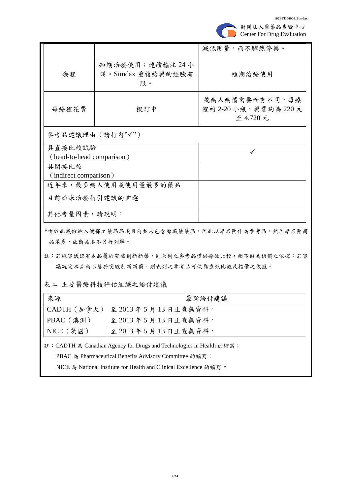

財團法人醫藥品查驗中心 Center For Drug Evaluation

|                                      |                                             | 減低用量,而不驟然停藥。                                         |
|--------------------------------------|---------------------------------------------|------------------------------------------------------|
| 療程                                   | 短期治療使用;連續輸注 24 小<br>時。Simdax 重複給藥的經驗有<br>限。 | 短期治療使用                                               |
| 每療程花費                                | 擬訂中                                         | 視病人病情需要而有不同,每療<br>程約 2-20 小瓶,藥費約為 220 元<br>至 4,720 元 |
| 參考品建議理由 (請打勾"√")                     |                                             |                                                      |
| 具直接比較試驗<br>(head-to-head comparison) |                                             | ✓                                                    |
| 具間接比較                                |                                             |                                                      |
| (indirect comparison)                |                                             |                                                      |
|                                      | 近年來,最多病人使用或使用量最多的藥品                         |                                                      |
| 目前臨床治療指引建議的首選                        |                                             |                                                      |
| 其他考量因素,請說明:                          |                                             |                                                      |

†由於此成份納入健保之藥品品項目前並未包含原廠藥藥品,因此以學名藥作為參考品,然因學名藥商 品眾多,故商品名不另行列舉。

- 註:若經審議認定本品屬於突破創新新藥,則表列之參考品僅供療效比較,而不做為核價之依據;若審 議認定本品尚不屬於突破創新新藥,則表列之參考品可做為療效比較及核價之依據。
- 表二 主要醫療科技評估組織之給付建議

| 來源        | 最新給付建議                           |  |
|-----------|----------------------------------|--|
|           | CADTH (加拿大)   至 2013年5月13日止查無資料。 |  |
| PBAC (澳洲) | 至 2013年5月13日止查無資料。               |  |
| NICE (英國  | 至 2013年5月13日止查無資料。               |  |

註:CADTH 為 Canadian Agency for Drugs and Technologies in Health 的縮寫;

PBAC 為 Pharmaceutical Benefits Advisory Committee 的缩寫;

NICE 為 National Institute for Health and Clinical Excellence 的縮寫。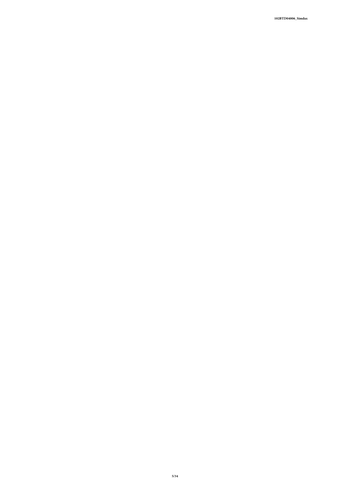**102BTD04006\_Simdax**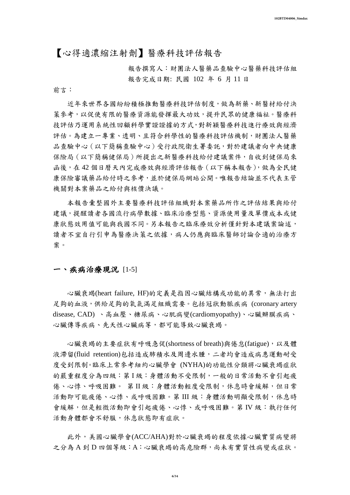## 【心得適濃縮注射劑】醫療科技評估報告

報告撰寫人:財團法人醫藥品查驗中心醫藥科技評估組 報告完成日期: 民國 102 年 6 月 11 日

前言:

近年來世界各國紛紛積極推動醫療科技評估制度,做為新藥、新醫材給付決 策參考,以促使有限的醫療資源能發揮最大功效,提升民眾的健康福祉。醫療科 技評估乃運用系統性回顧科學實證證據的方式,對新穎醫療科技進行療效與經濟 評估。為建立一專業、透明、且符合科學性的醫療科技評估機制,財團法人醫藥 品查驗中心(以下簡稱查驗中心)受行政院衛生署委託,對於建議者向中央健康 保險局(以下簡稱健保局)所提出之新醫療科技給付建議案件,自收到健保局來 函後,在42個日曆天內完成療效與經濟評估報告(以下稱本報告),做為全民健 康保險審議藥品給付時之參考,並於健保局網站公開。唯報告結論並不代表主管 機關對本案藥品之給付與核價決議。

本報告彙整國外主要醫療科技評估組織對本案藥品所作之評估結果與給付 建議,提醒讀者各國流行病學數據、臨床治療型態、資源使用量及單價成本或健 康狀態效用值可能與我國不同。另本報告之臨床療效分析僅針對本建議案論述, 讀者不宜自行引申為醫療決策之依據,病人仍應與臨床醫師討論合適的治療方 案。

#### 一、疾病治療現況 [1-5]

心臟衰竭(heart failure, HF)的定義是指因心臟結構或功能的異常,無法打出 足夠的血液,供給足夠的氧氣滿足組織需要。包括冠狀動脈疾病 [\(coronary artery](http://www.nhlbi.nih.gov/health/dci/Diseases/Cad/CAD_WhatIs.html)  [disease, CAD\)](http://www.nhlbi.nih.gov/health/dci/Diseases/Cad/CAD_WhatIs.html) 、高血壓、糖尿病、心肌病變[\(cardiomyopathy\)](http://www.nlm.nih.gov/medlineplus/ency/article/001105.htm)、心臟瓣膜疾病、 心臟傳導疾病、先天性心臟病等,都可能導致心臟衰竭。

心臟衰竭的主要症狀有呼吸急促(shortness of breath)與倦怠(fatigue),以及體 液滯留(fluid retention)包括造成肺積水及周邊水腫,二者均會造成病患運動耐受 度受到限制。臨床上常參考紐約心臟學會 (NYHA)的功能性分類將心臟衰竭症狀 的嚴重程度分為四級:第 I 級:身體活動不受限制,一般的日常活動不會引起疲 倦、心悸、呼吸困難。 第 II 級:身體活動輕度受限制,休息時會緩解,但日常 活動即可能疲倦、心悸、或呼吸困難。第 III 級:身體活動明顯受限制,休息時 會緩解,但是輕微活動即會引起疲倦、心悸、或呼吸困難。第 IV 級:執行任何 活動身體都會不舒服,休息狀態即有症狀。

此外,美國心臟學會(ACC/AHA)對於心臟衰竭的程度依據心臟實質病變將 之分為 A 到 D 四個等級:A:心臟衰竭的高危險群,尚未有實質性病變或症狀。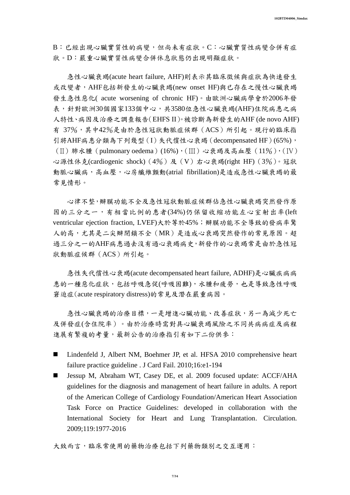B:已經出現心臟實質性的病變,但尚未有症狀。C:心臟實質性病變合併有症 狀。D:嚴重心臟實質性病變合併休息狀態仍出現明顯症狀。

急性心臟衰竭(acute heart failure, AHF)則表示其臨床徵候與症狀為快速發生 或改變者,AHF包括新發生的心臟衰竭(new onset HF)與已存在之慢性心臟衰竭 發生急性惡化( acute worsening of chronic HF)。由歐洲心臟病學會於2006年發 表,針對歐洲30個國家133個中心,共3580位急性心臟衰竭(AHF)住院病患之病 人特性、病因及治療之調查報告(EHFS II)。被診斷為新發生的AHF (de novo AHF) 有 37%,其中42%是由於急性冠狀動脈症候群 (ACS)所引起。現行的臨床指 引將AHF病患分類為下列幾型(I)失代償性心衰竭(decompensated HF)(65%),  $(II)$  肺水腫 (pulmonary oedema)(16%),(III)心衰竭及高血壓(11%),(IV) 心源性休克(cardiogenic shock) (4%)及(V)右心衰竭(right HF) (3%)。冠狀 動脈心臟病,高血壓,心房纖維顫動(atrial fibrillation)是造成急性心臟衰竭的最 常見情形。

心律不整,瓣膜功能不全及急性冠狀動脈症候群佔急性心臟衰竭突然發作原 因的三分之一,有相當比例的患者(34%)仍保留收縮功能左心室射出率(left ventricular ejection fraction, LVEF)大於等於45%;辦膜功能不全導致的發病率驚 人的高,尤其是二尖瓣閉鎖不全(MR)是造成心衰竭突然發作的常見原因。超 過三分之一的AHF病患過去沒有過心衰竭病史,新發作的心衰竭常是由於急性冠 狀動脈症候群(ACS)所引起。

急性失代償性心衰竭(acute decompensated heart failure, ADHF)是心臟疾病病 患的一種惡化症狀,包括呼吸急促(呼吸困難),水腫和疲勞,也是導致急性呼吸 窘迫症([acute respiratory distress\)](http://en.wikipedia.org/wiki/Acute_respiratory_distress)的常見及潛在嚴重病因。

急性心臟衰竭的治療目標,一是增進心臟功能、改善症狀,另一為減少死亡 及併發症(含住院率)。由於治療時需對具心臟衰竭風險之不同共病病症及病程 進展有繁複的考量,最新公告的治療指引有如下二份供參:

- Lindenfeld J, Albert NM, Boehmer JP, et al. HFSA 2010 comprehensive heart failure practice guideline . J Card Fail. 2010;16:e1-194
- Jessup M, Abraham WT, Casey DE, et al. 2009 focused update: ACCF/AHA guidelines for the diagnosis and management of heart failure in adults. A report of the American College of Cardiology Foundation/American Heart Association Task Force on Practice Guidelines: developed in collaboration with the International Society for Heart and Lung Transplantation. Circulation. 2009;119:1977-2016

大致而言,臨床常使用的藥物治療包括下列藥物類別之交互運用: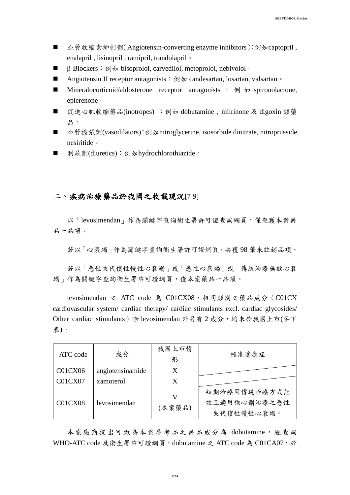- 血管收縮素抑制劑(Angiotensin-converting enzyme inhibitors):例如captopril, enalapril , lisinopril , ramipril, trandolapril。
- β-Blockers: 例如 bisoprolol, carvedilol, metoprolol, nebivolol 。
- Angiotensin II receptor antagonists: 例如 candesartan, losartan, valsartan。
- Mineralocorticoid/aldosterone receptor antagonists : 例如 spironolactone, eplerenone。
- 促進心肌收縮藥品(inotropes) :例如 dobutamine , milrinone 及 digoxin 類藥 品。
- 血管擴張劑(vasodilators):例如nitroglycerine, isosorbide dinitrate, nitroprusside, nesiritide。
- 利尿劑(diuretics):例如hydrochlorothiazide。

### 二、疾病治療藥品於我國之收載現況[7-9]

以「levosimendan」作為關鍵字查詢衛生署許可證查詢網頁,僅查獲本案藥 品一品項。

若以「心衰竭」作為關鍵字查詢衛生署許可證網頁,共獲 98 筆未註銷品項。

若以「急性失代償性慢性心衰竭」或「急性心衰竭」或「傳統治療無效心衰 竭」作為關鍵字查詢衛生署許可證網頁,僅本案藥品一品項。

levosimendan 之 ATC code 為 C01CX08,相同類別之藥品成分 (C01CX [cardiovascular system/](http://www.whocc.no/atc_ddd_index/?code=C&showdescription=yes) [cardiac therapy/](http://www.whocc.no/atc_ddd_index/?code=C01) [cardiac stimulants excl. cardiac glycosides/](http://www.whocc.no/atc_ddd_index/?code=C01C) [Other cardiac stimulants](http://www.whocc.no/atc_ddd_index/?code=C01CX))除 levosimendan 外另有 2 成分,均未於我國上市(參下 表)。

| ATC code       | 成分               | 我國上市情<br>形 | 核准適應症                                      |
|----------------|------------------|------------|--------------------------------------------|
| <b>C01CX06</b> | angiotensinamide | X          |                                            |
| <b>C01CX07</b> | xamoterol        | X          |                                            |
| C01CX08        | levosimendan     | (本案藥品)     | 短期治療因傳統治療方式無<br>效且適用強心劑治療之急性<br>失代償性慢性心衰竭。 |

本案廠商提出可做為本案參考品之藥品成分為 dobutamine,經查詢 WHO-ATC code 及衛生署許可證網頁, dobutamine 之 ATC code 為 C01CA07, 於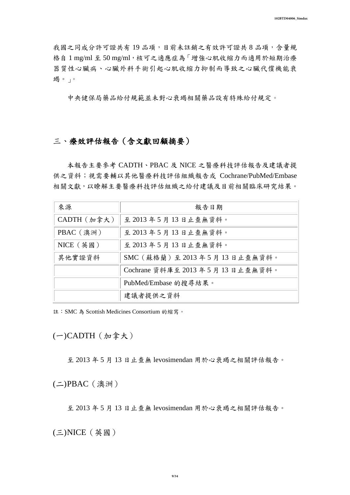我國之同成分許可證共有19品項,目前未註銷之有效許可證共8品項,含量規 格自 1 mg/ml 至 50 mg/ml,核可之適應症為「增強心肌收縮力而適用於短期治療 器質性心臟病、心臟外科手術引起心肌收縮力抑制而導致之心臟代償機能衰 竭。」。

中央健保局藥品給付規範並未對心衰竭相關藥品設有特殊給付規定。

## 三、療效評估報告(含文獻回顧摘要)

本報告主要參考 CADTH、PBAC 及 NICE 之醫療科技評估報告及建議者提 供之資料;視需要輔以其他醫療科技評估組織報告或 Cochrane/PubMed/Embase 相關文獻,以瞭解主要醫療科技評估組織之給付建議及目前相關臨床研究結果。

| 來源          | 報告日期                           |  |  |
|-------------|--------------------------------|--|--|
| CADTH (加拿大) | 至2013年5月13日止查無資料。              |  |  |
| PBAC (澳洲)   | 至 2013 年 5 月 13 日止查無資料。        |  |  |
| $NICE$ (英國) | 至 2013年5月13日止查無資料。             |  |  |
| 其他實證資料      | SMC (蘇格蘭) 至 2013年5月13日止查無資料。   |  |  |
|             | Cochrane 資料庫至 2013年5月13日止查無資料。 |  |  |
|             | PubMed/Embase 的搜尋結果。           |  |  |
|             | 建議者提供之資料                       |  |  |

註:SMC 為 Scottish Medicines Consortium 的縮寫。

 $(-)$ CADTH $(\text{m2})$ 

至 2013 年 5 月 13 日止查無 levosimendan 用於心衰竭之相關評估報告。

(二)PBAC(澳洲)

至 2013 年 5 月 13 日止查無 levosimendan 用於心衰竭之相關評估報告。

(三)NICE(英國)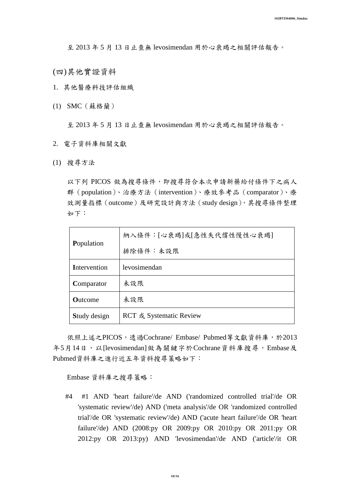至 2013 年 5 月 13 日止查無 levosimendan 用於心衰竭之相關評估報告。

(四)其他實證資料

- 1. 其他醫療科技評估組織
- (1) SMC(蘇格蘭)

至 2013 年 5 月 13 日止查無 levosimendan 用於心衰竭之相關評估報告。

- 2. 電子資料庫相關文獻
- (1) 搜尋方法

以下列 PICOS 做為搜尋條件,即搜尋符合本次申請新藥給付條件下之病人 群(population)、治療方法(intervention)、療效參考品(comparator)、療 效測量指標(outcome)及研究設計與方法(study design),其搜尋條件整理 如下:

| Population     | 納入條件:[心衰竭]或[急性失代償性慢性心衰竭] |  |  |
|----------------|--------------------------|--|--|
|                | 排除條件:未設限                 |  |  |
| Intervention   | levosimendan             |  |  |
| Comparator     | 未設限                      |  |  |
| <b>Outcome</b> | 未設限                      |  |  |
| Study design   | RCT 或 Systematic Review  |  |  |

依照上述之PICOS,透過Cochrane/ Embase/ Pubmed等文獻資料庫,於2013 年5月14日,以[levosimendan]做為關鍵字於Cochrane資料庫搜尋,Embase及 Pubmed資料庫之進行近五年資料搜尋策略如下:

Embase 資料庫之搜尋策略:

#4 #1 AND 'heart failure'/de AND ('randomized controlled trial'/de OR 'systematic review'/de) AND ('meta analysis'/de OR 'randomized controlled trial'/de OR 'systematic review'/de) AND ('acute heart failure'/de OR 'heart failure'/de) AND (2008:py OR 2009:py OR 2010:py OR 2011:py OR 2012:py OR 2013:py) AND 'levosimendan'/de AND ('article'/it OR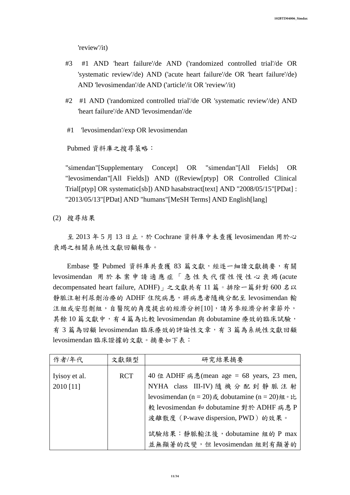'review'/it)

- #3 #1 AND 'heart failure'/de AND ('randomized controlled trial'/de OR 'systematic review'/de) AND ('acute heart failure'/de OR 'heart failure'/de) AND 'levosimendan'/de AND ('article'/it OR 'review'/it)
- #2 #1 AND ('randomized controlled trial'/de OR 'systematic review'/de) AND 'heart failure'/de AND 'levosimendan'/de
- #1 'levosimendan'/exp OR levosimendan

Pubmed 資料庫之搜尋策略:

"simendan"[Supplementary Concept] OR "simendan"[All Fields] OR "levosimendan"[All Fields]) AND ((Review[ptyp] OR Controlled Clinical Trial[ptyp] OR systematic[sb]) AND hasabstract[text] AND "2008/05/15"[PDat] : "2013/05/13"[PDat] AND "humans"[MeSH Terms] AND English[lang]

(2) 搜尋結果

至 2013年5月13日止,於 Cochrane 資料庫中未查獲 levosimendan 用於心 衰竭之相關系統性文獻回顧報告。

Embase 暨 Pubmed 資料庫共查獲 83 篇文獻,經逐一細讀文獻摘要,有關 levosimendan 用 於 本 案 申 請 適 應 症 「 急 性 失 代 償 性 慢 性 心 衰 竭 (acute decompensated heart failure, ADHF)」之文獻共有 11 篇。排除一篇針對 600 名以 靜脈注射利尿劑治療的 ADHF 住院病患,將病患者隨機分配至 levosimendan 輸 注組或安慰劑組,自醫院的角度提出的經濟分析[10],請另參經濟分析章節外, 其餘10 篇文獻中,有4篇為比較 levosimendan 與 dobutamine 療效的臨床試驗, 有 3 篇為回顧 levosimendan 臨床療效的評論性文章,有 3 篇為系統性文獻回顧 levosimendan 臨床證據的文獻。摘要如下表:

| 作者/年代                        | 文獻類型       | 研究結果摘要                                                                                                                                                                                                       |
|------------------------------|------------|--------------------------------------------------------------------------------------------------------------------------------------------------------------------------------------------------------------|
| Iyisoy et al.<br>$2010$ [11] | <b>RCT</b> | 40 位 ADHF 病患(mean age = 68 years, 23 men,<br>NYHA class III-IV) 隨機分配到靜脈注射<br>levosimendan (n = 20)或 dobutamine (n = 20)組。比<br>較 levosimendan 和 dobutamine 對於 ADHF 病患 P<br>波離散度 (P-wave dispersion, PWD) 的效果。 |
|                              |            | 試驗結果:靜脈輸注後, dobutamine 組的 P max<br>並無顯著的改變,但 levosimendan 組則有顯著的                                                                                                                                             |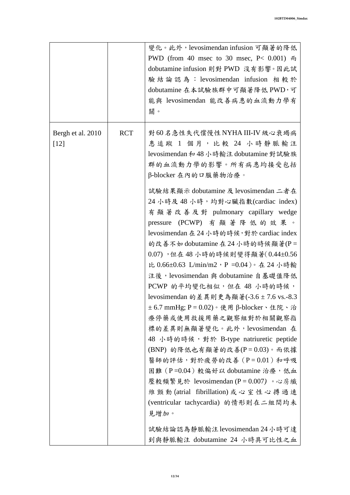|                             |            | 變化。此外,levosimendan infusion 可顯著的降低<br>PWD (from 40 msec to 30 msec, $P < 0.001$ ) $\bar{m}$<br>dobutamine infusion 則對 PWD 沒有影響。因此試<br>驗結論認為: levosimendan infusion 相較於<br>dobutamine 在本試驗族群中可顯著降低 PWD, 可<br>能與 levosimendan 能改善病患的血流動力學有<br>關。                                                                                                                                                                                                                                                                                                                                                                                                                                                                                                                                                                                                                                                                                                                                                                                             |
|-----------------------------|------------|--------------------------------------------------------------------------------------------------------------------------------------------------------------------------------------------------------------------------------------------------------------------------------------------------------------------------------------------------------------------------------------------------------------------------------------------------------------------------------------------------------------------------------------------------------------------------------------------------------------------------------------------------------------------------------------------------------------------------------------------------------------------------------------------------------------------------------------------------------------------------------------------------------------------------------------------------------------------------------------------------------------------------------------------|
| Bergh et al. 2010<br>$[12]$ | <b>RCT</b> | 對60名急性失代償慢性NYHA III-IV 級心衰竭病<br>患追蹤 1 個月,比較 24 小時靜脈輸注<br>levosimendan 和 48 小時輸注 dobutamine 對試驗族<br>群的血流動力學的影響。所有病患均接受包括<br>β-blocker 在內的口服藥物治療。<br>試驗結果顯示 dobutamine 及 levosimendan 二者在<br>24 小時及 48 小時, 均對心臟指數(cardiac index)<br>有顯著改善及對 pulmonary capillary wedge<br>pressure (PCWP) 有顯著降低的效果。<br>levosimendan 在 24 小時的時候, 對於 cardiac index<br>的改善不如 dobutamine 在 24 小時的時候顯著(P=<br>$(0.07)$ , 但在48小時的時候則變得顯著 $(0.44\pm0.56)$<br>比 0.66±0.63 L/min/m2,P =0.04)。在 24 小時輸<br>注後, levosimendan 與 dobutamine 自基礎值降低<br>PCWP 的平均變化相似,但在 48 小時的時候,<br>levosimendan 的差異則更為顯著(-3.6 ± 7.6 vs.-8.3<br>± 6.7 mmHg; P = 0.02)。使用 β-blocker、住院、治<br>療停藥或使用救援用藥之觀察組對於相關觀察指<br>標的差異則無顯著變化。此外, levosimendan 在<br>48 小時的時候, 對於 B-type natriuretic peptide<br>(BNP) 的降低也有顯著的改善(P=0.03)。而依據<br>醫師的評估,對於疲勞的改善(P=0.01)和呼吸<br>困難 (P=0.04) 較偏好以 dobutamine 治療, 低血<br>壓較頻繁見於 levosimendan (P = 0.007) 。心房纖<br>維顫動(atrial fibrillation)或心室性心搏過速<br>(ventricular tachycardia) 的情形則在二組間均未<br>見增加。<br>試驗結論認為靜脈輸注levosimendan 24 小時可達<br>到與靜脈輸注 dobutamine 24 小時具可比性之血 |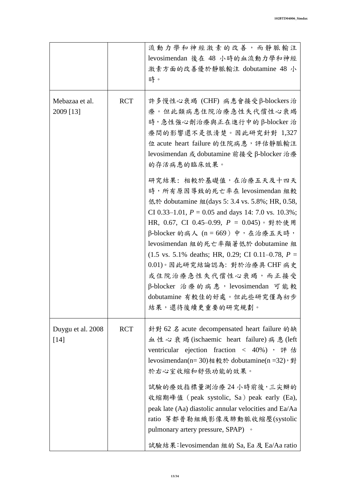|                             |            | 流動力學和神經激素的改善,而靜脈輸注<br>levosimendan 後在 48 小時的血流動力學和神經<br>激素方面的改善優於靜脈輸注 dobutamine 48 小<br>時。                                                                                                                                                                                                                                                                                                                                                                                                                                                 |
|-----------------------------|------------|---------------------------------------------------------------------------------------------------------------------------------------------------------------------------------------------------------------------------------------------------------------------------------------------------------------------------------------------------------------------------------------------------------------------------------------------------------------------------------------------------------------------------------------------|
| Mebazaa et al.<br>2009 [13] | <b>RCT</b> | 許多慢性心衰竭 (CHF) 病患會接受β-blockers 治<br>療。但此類病患住院治療急性失代償性心衰竭<br>時,急性強心劑治療與正在進行中的β-blocker 治<br>療間的影響還不是很清楚。因此研究針對 1,327<br>位 acute heart failure 的住院病患, 評估靜脈輸注<br>levosimendan 或 dobutamine 前接受 β-blocker 治療<br>的存活病患的臨床效果。                                                                                                                                                                                                                                                                                                                      |
|                             |            | 研究結果: 相較於基礎值, 在治療五天及十四天<br>時,所有原因導致的死亡率在 levosimendan 組較<br>低於 dobutamine 組(days 5: 3.4 vs. 5.8%; HR, 0.58,<br>CI 0.33–1.01, $P = 0.05$ and days 14: 7.0 vs. 10.3%;<br>HR, 0.67, CI 0.45-0.99, P = 0.045)。對於使用<br>$\beta$ -blocker 的病人 (n = 669) 中, 在治療五天時,<br>levosimendan 组的死亡率顯著低於 dobutamine 組<br>$(1.5 \text{ vs. } 5.1\% \text{ deaths}; \text{ HR}, 0.29; \text{ CI } 0.11-0.78, P =$<br>0.01)。因此研究結論認為: 對於治療具 CHF 病史<br>或住院治療急性失代償性心衰竭,而正接受<br>β-blocker 治療的病患, levosimendan 可能較<br>dobutamine 有較佳的好處。但此些研究僅為初步<br>結果,還待後續更重要的研究規劃。 |
| Duygu et al. 2008<br>$[14]$ | <b>RCT</b> | 針對 62 名 acute decompensated heart failure 的缺<br>血性心衰竭(ischaemic heart failure)病患(left<br>ventricular ejection fraction < 40%), 評估<br>levosimendan(n=30)相較於 dobutamine(n =32), 對<br>於右心室收縮和舒張功能的效果。                                                                                                                                                                                                                                                                                                                                          |
|                             |            | 試驗的療效指標量測治療24小時前後,三尖瓣的<br>收缩期峰值 (peak systolic, Sa) peak early (Ea),<br>peak late (Aa) diastolic annular velocities and Ea/Aa<br>ratio 等都普勒組織影像及肺動脈收縮壓(systolic<br>pulmonary artery pressure, SPAP) •<br>試驗結果: levosimendan 組的 Sa, Ea 及 Ea/Aa ratio                                                                                                                                                                                                                                                                                         |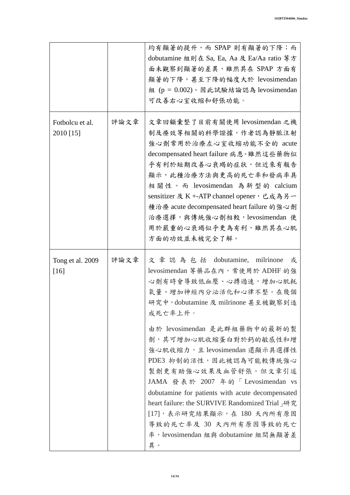|                              |      | 均有顯著的提升,而 SPAP 則有顯著的下降;而<br>dobutamine 組則在 Sa, Ea, Aa 及 Ea/Aa ratio 等方<br>面未觀察到顯著的差異,雖然其在 SPAP 方面有<br>顯著的下降,甚至下降的幅度大於 levosimendan<br>組 ( $p = 0.002$ )。因此試驗結論認為 levosimendan<br>可改善右心室收縮和舒張功能。                                                                                                                                                                                                                                                                                                                                                                                      |
|------------------------------|------|--------------------------------------------------------------------------------------------------------------------------------------------------------------------------------------------------------------------------------------------------------------------------------------------------------------------------------------------------------------------------------------------------------------------------------------------------------------------------------------------------------------------------------------------------------------------------------------|
| Fotbolcu et al.<br>2010 [15] | 評論文章 | 文章回顧彙整了目前有關使用 levosimendan 之機<br>制及療效等相關的科學證據,作者認為靜脈注射<br>強心劑常用於治療左心室收縮功能不全的 acute<br>decompensated heart failure 病患。雖然這些藥物似<br>乎有利於短期改善心衰竭的症狀,但近來有報告<br>顯示,此種治療方法與更高的死亡率和發病率具<br>相關性。而 levosimendan 為新型的 calcium<br>sensitizer 及 K +-ATP channel opener, 已成為另一<br>種治療 acute decompensated heart failure 的強心劑<br>治療選擇,與傳統強心劑相較, levosimendan 使<br>用於嚴重的心衰竭似乎更為有利,雖然其在心肌<br>方面的功效並未被完全了解。                                                                                                                                                                                             |
| Tong et al. 2009<br>$[16]$   | 評論文章 | 文章認為包括 dobutamine, milrinone<br>或<br>levosimendan 等藥品在內, 常使用於 ADHF 的強<br>心劑有時會導致低血壓、心搏過速,增加心肌耗<br>氧量、增加神經內分泌活化和心律不整。在幾個<br>研究中, dobutamine 及 milrinone 甚至被觀察到造<br>成死亡率上升。<br>由於 levosimendan 是此群組藥物中的最新的製<br>劑,其可增加心肌收縮蛋白對於鈣的敏感性和增<br>強心肌收縮力,且levosimendan 還顯示具選擇性<br>PDE3 抑制的活性,因此被認為可能較傳統強心<br>製劑更有助強心效果及血管舒張。但文章引述<br>JAMA 發表於 2007 年的「Levosimendan vs<br>dobutamine for patients with acute decompensated<br>heart failure: the SURVIVE Randomized Trial $\mathcal{F}$ 究<br>[17], 表示研究結果顯示, 在 180 天內所有原因<br>導致的死亡率及 30 天內所有原因導致的死亡<br>率, levosimendan 組與 dobutamine 組間無顯著差<br>異。 |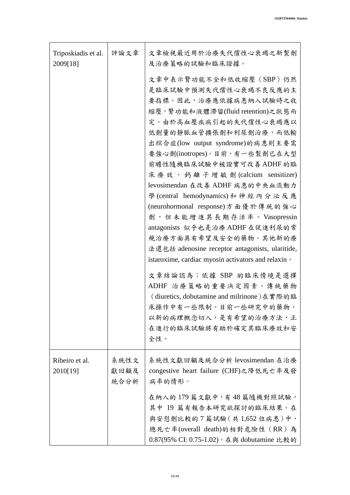| Triposkiadis et al.<br>2009[18] | 評論文章                 | 文章檢視最近用於治療失代償性心衰竭之新製劑<br>及治療策略的試驗和臨床證據。                                                                                                                                                                                                                                                                                                                                                                                                                                                                                                                                                                                                                                                                                                                                                                  |
|---------------------------------|----------------------|----------------------------------------------------------------------------------------------------------------------------------------------------------------------------------------------------------------------------------------------------------------------------------------------------------------------------------------------------------------------------------------------------------------------------------------------------------------------------------------------------------------------------------------------------------------------------------------------------------------------------------------------------------------------------------------------------------------------------------------------------------------------------------------------------------|
|                                 |                      | 文章中表示腎功能不全和低收縮壓(SBP)仍然<br>是臨床試驗中預測失代償性心衰竭不良反應的主<br>要指標。因此,治療應依據病患納入試驗時之收<br>縮壓,腎功能和液體滯留(fluid retention)之狀態而<br>定。由於高血壓疾病引起的失代償性心衰竭應以<br>低劑量的靜脈血管擴張劑和利尿劑治療,而低輸<br>出綜合症(low output syndrome)的病患則主要需<br>要強心劑(inotropes)。目前,有一些製劑已在大型<br>前瞻性隨機臨床試驗中被證實可改善 ADHF 的臨<br>床療效,鈣離子增敏劑(calcium sensitizer)<br>levosimendan 在改善 ADHF 病患的中央血流動力<br>學(central hemodynamics)和神經內分泌反應<br>(neurohormonal response)方面優於傳統的強心<br>劑, 但未能增進其長期存活率。Vasopressin<br>antagonists 似乎也是治療 ADHF 在促進利尿的常<br>規治療方面具有希望及安全的藥物。其他新的療<br>法還包括 adenosine receptor antagonists, ularitide,<br>istaroxime, cardiac myosin activators and relaxin $\circ$<br>文章結論認為:依據 SBP 的臨床情境是選擇<br>ADHF 治療策略的重要決定因素。傳統藥物<br>(diuretics, dobutamine and milrinone)在實際的臨<br>床操作中有一些限制。目前一些研究中的藥物,<br>以新的病理概念切入,是有希望的治療方法,正<br>在進行的臨床試驗將有助於確定其臨床療效和安<br>全性。 |
| Ribeiro et al.<br>2010[19]      | 系統性文<br>獻回顧及<br>統合分析 | 系統性文獻回顧及統合分析 levosimendan 在治療<br>congestive heart failure (CHF)之降低死亡率及發<br>病率的情形。<br>在納入的179 篇文獻中, 有48 篇隨機對照試驗,<br>其中 19 篇有報告本研究欲探討的臨床結果。在<br>與安慰劑比較的7篇試驗(共1,652位病患)中,<br>總死亡率(overall death)的相對危險性 (RR)為<br>0.87(95% CI: 0.75-1.02)。在與 dobutamine 比較的                                                                                                                                                                                                                                                                                                                                                                                                                                                                                                                                                   |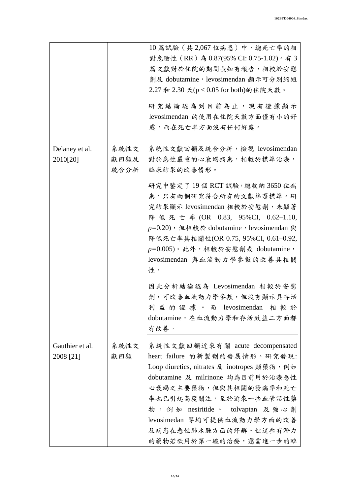|                              |                      | 10篇試驗(共2,067位病患)中,總死亡率的相<br>對危險性 (RR)為 0.87(95% CI: 0.75-1.02)。有3<br>篇文獻對於住院的期間長短有報告,相較於安慰<br>劑及 dobutamine, levosimendan 顯示可分別縮短<br>2.27 和 2.30 天(p < 0.05 for both)的住院天數。<br>研究結論認為到目前為止,現有證據顯示<br>levosimendan 的使用在住院天數方面僅有小的好<br>處,而在死亡率方面沒有任何好處。                                                                       |
|------------------------------|----------------------|-----------------------------------------------------------------------------------------------------------------------------------------------------------------------------------------------------------------------------------------------------------------------------------------------------------------------------|
| Delaney et al.<br>2010[20]   | 系統性文<br>獻回顧及<br>統合分析 | 系統性文獻回顧及統合分析,檢視 levosimendan<br>對於急性嚴重的心衰竭病患,相較於標準治療,<br>臨床結果的改善情形。                                                                                                                                                                                                                                                         |
|                              |                      | 研究中鑒定了19個 RCT 試驗,總收納 3650 位病<br>患,只有兩個研究符合所有的文獻篩選標準。研<br>究結果顯示 levosimendan 相較於安慰劑,未顯著<br>降低死亡率 (OR 0.83, 95%CI, 0.62-1.10,<br>p=0.20), 但相較於 dobutamine, levosimendan 與<br>降低死亡率具相關性(OR 0.75, 95%CI, 0.61-0.92,<br>$p=0.005$ )。此外,相較於安慰劑或 dobutamine,<br>levosimendan 與血流動力學參數的改善具相關<br>性。                                  |
|                              |                      | 因此分析結論認為 Levosimendan 相較於安慰<br>劑,可改善血流動力學參數,但沒有顯示具存活<br>利益的證據。而 levosimendan 相較於<br>dobutamine, 在血流動力學和存活效益二方面都<br>有改善。                                                                                                                                                                                                     |
| Gauthier et al.<br>2008 [21] | 系統性文<br>獻回顧          | 系統性文獻回顧近來有關 acute decompensated<br>heart failure 的新製劑的發展情形。研究發現:<br>Loop diuretics, nitrates 及 inotropes 類藥物, 例如<br>dobutamine 及 milrinone 均為目前用於治療急性<br>心衰竭之主要藥物,但與其相關的發病率和死亡<br>率也已引起高度關注,至於近來一些血管活性藥<br>物,例如 nesiritide、 tolvaptan 及強心劑<br>levosimedan 等均可提供血流動力學方面的改善<br>及病患在急性肺水腫方面的紓解。但這些有潛力<br>的藥物若欲用於第一線的治療,還需進一步的臨 |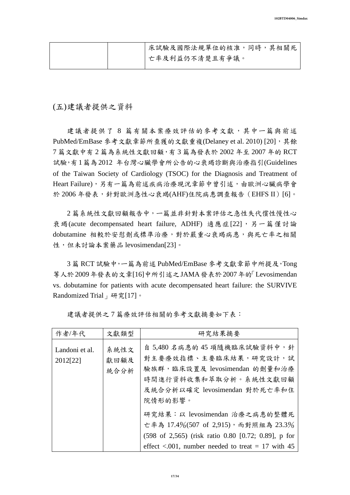| 床試驗及國際法規單位的核准,同時,其相關死 |
|-----------------------|
| '亡率及利益仍不清楚且有爭議。       |
|                       |

(五)建議者提供之資料

建議者提供了 8 篇有關本案療效評估的參考文獻,其中一篇與前述 PubMed/EmBase 參考文獻章節所查獲的文獻重複[\(Delaney](http://www.internationaljournalofcardiology.com/article/S0167-5273(08)00979-0/abstract) et al. 2010) [20],其餘 7 篇文獻中有 2 篇為系統性文獻回顧,有 3 篇為發表於 2002 年至 2007 年的 RCT 試驗,有1篇為2012 年台灣心臟學會所公告的心衰竭診斷與治療指引(Guidelines of the Taiwan Society of Cardiology (TSOC) for the Diagnosis and Treatment of Heart Failure),另有一篇為前述疾病治療現況章節中曾引述,由歐洲心臟病學會 於 2006年發表,針對歐洲急性心衰竭(AHF)住院病患調查報告 (EHFS II) [6]。

2 篇系統性文獻回顧報告中,ㄧ篇並非針對本案評估之急性失代償性慢性心 衰竭(acute decompensated heart failure, ADHF) 適應症[22],另一篇僅討論 dobutamine 相較於安慰劑或標準治療,對於嚴重心衰竭病患,與死亡率之相關 性,但未討論本案藥品 levosimendan[23]。

3 篇 RCT 試驗中,ㄧ篇為前述 PubMed/EmBase 參考文獻章節中所提及,Tong 等人於2009年發表的文章[16]中所引述之JAMA發表於2007年的「Levosimendan vs. dobutamine for patients with acute decompensated heart failure: the SURVIVE Randomized Trial | 研究[17]。

| 作者/年代                      | 文獻類型                 | 研究結果摘要                                                                                                                                                                                                                                                                                                                                             |
|----------------------------|----------------------|----------------------------------------------------------------------------------------------------------------------------------------------------------------------------------------------------------------------------------------------------------------------------------------------------------------------------------------------------|
| Landoni et al.<br>2012[22] | 系統性文<br>獻回顧及<br>統合分析 | 自 5,480 名病患的 45 項隨機臨床試驗資料中,針<br>對主要療效指標、主要臨床結果,研究設計,試<br>驗族群,臨床設置及 levosimendan 的劑量和治療<br>時間進行資料收集和萃取分析。系統性文獻回顧<br>及統合分析以確定 levosimendan 對於死亡率和住<br>院情形的影響。<br>研究結果:以 levosimendan 治療之病患的整體死<br>亡率為 17.4%(507 of 2,915), 而對照組為 23.3%<br>(598 of 2,565) (risk ratio 0.80 [0.72; 0.89], p for<br>effect <.001, number needed to treat = 17 with $45$ |

建議者提供之 7 篇療效評估相關的參考文獻摘要如下表: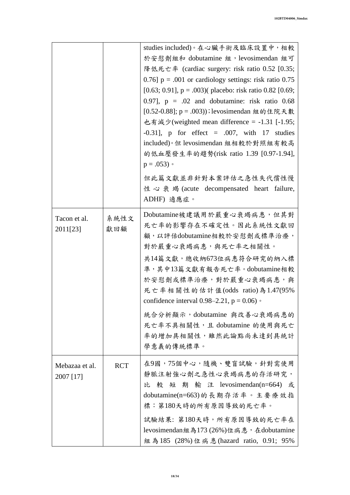|                             |             | studies included)。在心臟手術及臨床設置中,相較<br>於安慰劑組和 dobutamine 組,levosimendan 組可<br>降低死亡率 (cardiac surgery: risk ratio 0.52 [0.35;<br>0.76] $p = .001$ or cardiology settings: risk ratio 0.75<br>[0.63; 0.91], $p = .003$ )( placebo: risk ratio 0.82 [0.69;<br>0.97], $p = .02$ and dobutamine: risk ratio 0.68<br>[0.52-0.88]; p = .003)); levosimendan 組的住院天數<br>也有減少(weighted mean difference = -1.31 [-1.95;<br>-0.31], $p$ for effect = .007, with 17 studies<br>included)。但 levosimendan 組相較於對照組有較高<br>的低血壓發生率的趨勢(risk ratio 1.39 [0.97-1.94],<br>$p = .053$ ) $\circ$ |
|-----------------------------|-------------|-----------------------------------------------------------------------------------------------------------------------------------------------------------------------------------------------------------------------------------------------------------------------------------------------------------------------------------------------------------------------------------------------------------------------------------------------------------------------------------------------------------------------------------------------------------------------|
|                             |             | 但此篇文獻並非針對本案評估之急性失代償性慢<br>性心衰竭 (acute decompensated heart failure,<br>ADHF) 適應症。                                                                                                                                                                                                                                                                                                                                                                                                                                                                                       |
| Tacon et al.<br>2011[23]    | 系統性文<br>獻回顧 | Dobutamine被建議用於嚴重心衰竭病患,但其對<br>死亡率的影響存在不確定性。因此系統性文獻回<br>顧,以評估dobutamine相較於安慰劑或標準治療,<br>對於嚴重心衰竭病患,與死亡率之相關性。<br>共14篇文獻,總收納673位病患符合研究的納入標<br>準,其中13篇文獻有報告死亡率。dobutamine相較<br>於安慰劑或標準治療,對於嚴重心衰竭病患,與<br>死亡率相關性的估計值(odds ratio)為1.47(95%<br>confidence interval 0.98–2.21, $p = 0.06$ )                                                                                                                                                                                                                                                                                      |
|                             |             | 統合分析顯示, dobutamine 與改善心衰竭病患的<br>死亡率不具相關性,且 dobutamine 的使用與死亡<br>率的增加具相關性,雖然此論點尚未達到具統計<br>學意義的傳統標準。                                                                                                                                                                                                                                                                                                                                                                                                                                                                    |
| Mebazaa et al.<br>2007 [17] | <b>RCT</b>  | 在9國,75個中心,隨機、雙盲試驗,針對需使用<br>靜脈注射強心劑之急性心衰竭病患的存活研究,<br>較 短 期 輸 注 levosimendan(n=664) 或<br>比<br>dobutamine(n=663)的長期存活率。主要療效指<br>標:第180天時的所有原因導致的死亡率。<br>試驗結果: 第180天時, 所有原因導致的死亡率在<br>levosimendan 組為173 (26%)位病患, 在dobutamine<br>組為185 (28%)位病患(hazard ratio, 0.91; 95%                                                                                                                                                                                                                                                                                                  |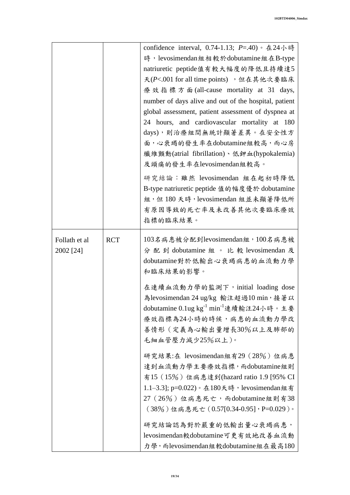|               |            | confidence interval, 0.74-1.13; P=.40) • 在24小時                  |
|---------------|------------|-----------------------------------------------------------------|
|               |            | 時, levosimendan 組相較於dobutamine 組在B-type                         |
|               |            | natriuretic peptide值有較大幅度的降低且持續達5                               |
|               |            | 天(P<.001 for all time points), 但在其他次要臨床                         |
|               |            | 療效指標方面(all-cause mortality at 31 days,                          |
|               |            | number of days alive and out of the hospital, patient           |
|               |            | global assessment, patient assessment of dyspnea at             |
|               |            | 24 hours, and cardiovascular mortality at 180                   |
|               |            | days),則治療組間無統計顯著差異。在安全性方                                        |
|               |            | 面,心衰竭的發生率在dobutamine組較高,而心房                                     |
|               |            | 纖維顫動(atrial fibrillation)、低鉀血(hypokalemia)                      |
|               |            | 及頭痛的發生率在levosimendan組較高。                                        |
|               |            | 研究結論:雖然 levosimendan 組在起初時降低                                    |
|               |            | B-type natriuretic peptide 值的幅度優於 dobutamine                    |
|               |            | 組,但180天時, levosimendan 組並未顯著降低所                                 |
|               |            | 有原因導致的死亡率及未改善其他次要臨床療效                                           |
|               |            | 指標的臨床結果。                                                        |
|               |            |                                                                 |
| Follath et al | <b>RCT</b> | 103名病患被分配到levosimendan組, 100名病患被                                |
| 2002 [24]     |            | 分配到 dobutamine 組 。 比 較 levosimendan 及                           |
|               |            | dobutamine對於低輸出心衰竭病患的血流動力學                                      |
|               |            | 和臨床結果的影響。                                                       |
|               |            | 在連續血流動力學的監測下, initial loading dose                              |
|               |            | 為levosimendan 24 ug/kg 輸注超過10 min,接著以                           |
|               |            | dobutamine 0.1ug kg <sup>-1</sup> min <sup>-1</sup> 連續輸注24小時。主要 |
|               |            | 療效指標為24小時的時候,病患的血流動力學改                                          |
|               |            | 善情形 (定義為心輸出量增長30%以上及肺部的                                         |
|               |            | 毛細血管壓力減少25%以上)。                                                 |
|               |            | 研究結果:在 levosimendan組有29 (28%) 位病患                               |
|               |            | 達到血流動力學主要療效指標,而dobutamine組則                                     |
|               |            | 有15 (15%) 位病患達到(hazard ratio 1.9 [95% CI                        |
|               |            | 1.1-3.3]; p=0.022)。在180天時, levosimendan組有                       |
|               |            | $27$ (26%) 位病患死亡, 而dobutamine 組則有38                             |
|               |            | (38%)位病患死亡 (0.57[0.34-0.95], P=0.029)。                          |
|               |            | 研究結論認為對於嚴重的低輸出量心衰竭病患,                                           |
|               |            | levosimendan較dobutamine可更有效地改善血流動                               |
|               |            | 力學, mlevosimendan組較dobutamine組在最高180                            |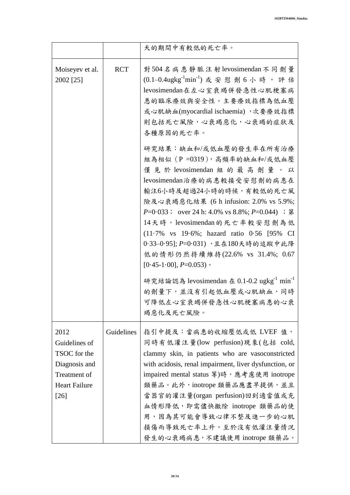|                                                                                                          |            | 天的期間中有較低的死亡率。                                                                                                                                                                                                                                                                                                                                                                                                                                                                                                                                                                        |
|----------------------------------------------------------------------------------------------------------|------------|--------------------------------------------------------------------------------------------------------------------------------------------------------------------------------------------------------------------------------------------------------------------------------------------------------------------------------------------------------------------------------------------------------------------------------------------------------------------------------------------------------------------------------------------------------------------------------------|
| Moiseyev et al.<br>2002 [25]                                                                             | <b>RCT</b> | 對 504名病患靜脈注射 levosimendan 不同劑量<br>$(0.1-0.4$ ugkg <sup>-1</sup> min <sup>-1</sup> ) 或安慰劑6小時,評估<br>levosimendan在左心室衰竭併發急性心肌梗塞病<br>患的臨床療效與安全性。主要療效指標為低血壓<br>或心肌缺血(myocardial ischaemia),文要療效指標<br>則包括死亡風險,心衰竭惡化,心衰竭的症狀及<br>各種原因的死亡率。                                                                                                                                                                                                                                                                                                                                                   |
|                                                                                                          |            | 研究結果:缺血和/或低血壓的發生率在所有治療<br>組為相似 (P =0319), 高頻率的缺血和/或低血壓<br>僅 見 於 levosimendan 組 的 最 高 劑 量 。 以<br>levosimendan治療的病患較接受安慰劑的病患在<br>輸注6小時及超過24小時的時候,有較低的死亡風<br>險及心衰竭惡化結果 (6 h infusion: 2.0% vs 5.9%;<br>$P=0.033$ ; over 24 h: 4.0% vs 8.8%; $P=0.044$ ); 第<br>14天時, levosimendan 的死亡率較安慰劑為低<br>(11.7% vs 19.6%; hazard ratio 0.56 [95% CI<br>$(0.33 - 0.95]$ ; P=0.031),且在180天時的追蹤中此降<br>低的情形仍然持續維持(22.6% vs 31.4%; 0.67<br>$[0.45-1.00], P=0.053$<br>研究結論認為 levosimendan 在 0.1-0.2 ugkg <sup>-1</sup> min <sup>-1</sup><br>的劑量下,並沒有引起低血壓或心肌缺血,同時<br>可降低左心室衰竭併發急性心肌梗塞病患的心衰<br>竭惡化及死亡風險。 |
| 2012<br>Guidelines of<br>TSOC for the<br>Diagnosis and<br>Treatment of<br><b>Heart Failure</b><br>$[26]$ | Guidelines | 指引中提及:當病患的收縮壓低或低 LVEF 值,<br>同時有低灌注量(low perfusion)現象(包括 cold,<br>clammy skin, in patients who are vasoconstricted<br>with acidosis, renal impairment, liver dysfunction, or<br>impaired mental status 等)時, 應考慮使用 inotrope<br>類藥品。此外, inotrope 類藥品應盡早提供, 並且<br>當器官的灌注量(organ perfusion)回到適當值或充<br>血情形降低, 即需儘快撤除 inotrope 類藥品的使<br>用,因為其可能會導致心律不整及進一步的心肌<br>損傷而導致死亡率上升。至於沒有低灌注量情況<br>發生的心衰竭病患,不建議使用 inotrope 類藥品。                                                                                                                                                                      |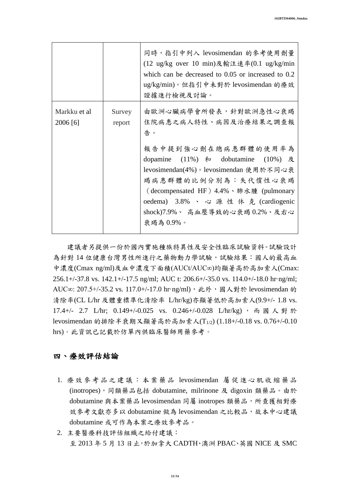|                            |                  | 同時, 指引中列入 levosimendan 的參考使用劑量<br>(12 ug/kg over 10 min)及輸注速率(0.1 ug/kg/min<br>which can be decreased to $0.05$ or increased to $0.2$<br>ug/kg/min)。但指引中未對於 levosimendan 的療效<br>證據進行檢視及討論。                                                                                                                                                       |
|----------------------------|------------------|--------------------------------------------------------------------------------------------------------------------------------------------------------------------------------------------------------------------------------------------------------------------------------------------------------------------------------------------------|
| Markku et al<br>$2006$ [6] | Survey<br>report | 由歐洲心臟病學會所發表,針對歐洲急性心衰竭<br>住院病患之病人特性、病因及治療結果之調查報<br>告。<br>報告中提到強心劑在總病患群體的使用率為<br>dopamine (11%) $\bar{\pi}$ dobutamine (10%) $\bar{\mathcal{R}}$<br>levosimendan(4%)。levosimendan 使用於不同心衰<br>竭病患群體的比例分別為:失代償性心衰竭<br>(decompensated HF) 4.4%、肺水腫 (pulmonary<br>oedema) 3.8% 、 心 源 性 休 克 (cardiogenic<br>shock)7.9%、 高血壓導致的心衰竭 0.2%、及右心<br>衰竭為 0.9%。 |

建議者另提供一份於國內實施種族特異性及安全性臨床試驗資料。試驗設計 為針對 14 位健康台灣男性所進行之藥物動力學試驗,試驗結果:國人的最高血 中濃度(Cmax ng/ml)及血中濃度下面積(AUCt/AUC∞)均顯著高於高加索人(Cmax: 256.1+/-37.8 vs. 142.1+/-17.5 ng/ml; AUC t: 206.6+/-35.0 vs. 114.0+/-18.0 hr·ng/ml; AUC∞: 207.5+/-35.2 vs. 117.0+/-17.0 hr·ng/ml),此外,國人對於 levosimendan 的 清除率(CL L/hr 及體重標準化清除率 L/hr/kg)亦顯著低於高加索人(9.9+/- 1.8 vs. 17.4+/- 2.7 L/hr; 0.149+/-0.025 vs. 0.246+/-0.028 L/hr/kg), 而國人對於 levosimendan 的排除半衰期又顯著高於高加索人(T1/2) (1.18+/-0.18 vs. 0.76+/-0.10 hrs)。此資訊已記載於仿單內供臨床醫師用藥參考。

#### 四、療效評估結論

- 1. 療 效 參 考 品 之 建 議 : 本 案 藥 品 levosimendan 屬 促 進 心 肌 收 縮 藥 品 (inotropes),同類藥品包括 dobutamine, milrinone 及 digoxin 類藥品。由於 dobutamine 與本案藥品 levosimendan 同屬 inotropes 類藥品,所查獲相對療 效參考文獻亦多以 dobutamine 做為 levosimendan 之比較品,故本中心建議 dobutamine 或可作為本案之療效參考品。
- 2. 主要醫療科技評估組織之給付建議: 至 2013 年 5 月 13 日止,於加拿大 CADTH、澳洲 PBAC、英國 NICE 及 SMC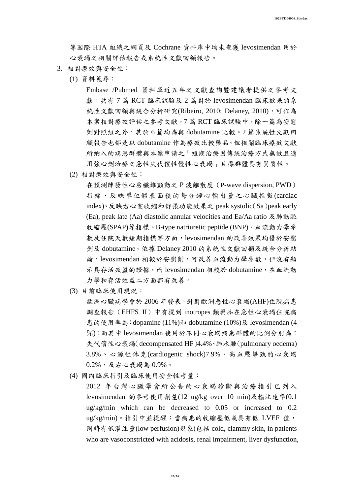等國際 HTA 組織之網頁及 Cochrane 資料庫中均未查獲 levosimendan 用於 心衰竭之相關評估報告或系統性文獻回顧報告。

- 3. 相對療效與安全性:
	- (1) 資料蒐尋:

Embase /Pubmed 資料庫近五年之文獻查詢暨建議者提供之參考文 獻,共有 7 篇 RCT 臨床試驗及 2 篇對於 levosimendan 臨床效果的系 統性文獻回顧與統合分析研究(Ribeiro, 2010; Delaney, 2010), 可作為 本案相對療效評估之參考文獻。7 篇 RCT 臨床試驗中,除一篇為安慰 劑對照組之外,其於 6 篇均為與 dobutamine 比較。2 篇系統性文獻回 顧報告也都是以 dobutamine 作為療效比較藥品。但相關臨床療效文獻 所納入的病患群體與本案申請之「短期治療因傳統治療方式無效且適 用強心劑治療之急性失代償性慢性心衰竭」目標群體具有異質性。

(2) 相對療效與安全性:

在預測陣發性心房纖維顫動之 P 波離散度(P-wave dispersion, PWD) 指標、反映單位體表面積的每分鐘心輸出量之心臟指數(cardiac index)、反映右心室收縮和舒張功能效果之 peak systolic(Sa)peak early (Ea), peak late (Aa) diastolic annular velocities and Ea/Aa ratio 及肺動脈 收縮壓(SPAP)等指標、B-type natriuretic peptide (BNP)、血流動力學參 數及住院天數短期指標等方面,levosimendan 的改善效果均優於安慰 劑及 dobutamine。依據 Delaney 2010 的系統性文獻回顧及統合分析結 論,levosimendan 相較於安慰劑,可改善血流動力學參數,但沒有顯 示具存活效益的證據,而 levosimendan 相較於 dobutamine,在血流動 力學和存活效益二方面都有改善。

(3) 目前臨床使用現況:

歐洲心臟病學會於 2006年發表,針對歐洲急性心衰竭(AHF)住院病患 調查報告(EHFS II)中有提到 inotropes 類藥品在急性心衰竭住院病 患的使用率為:dopamine (11%)和 dobutamine (10%)及 levosimendan (4 %);而其中 levosimendan 使用於不同心衰竭病患群體的比例分別為: 失代償性心衰竭(decompensated HF)4.4%、肺水腫(pulmonary oedema) 3.8%、心源性休克(cardiogenic shock)7.9%、高血壓導致的心衰竭 0.2%、及右心衰竭為 0.9%。

(4) 國內臨床指引及臨床使用安全性考量:

2012 年台灣心臟學會所公告的心衰竭診斷與治療指引已列入 levosimendan 的參考使用劑量(12 ug/kg over 10 min)及輸注速率(0.1 ug/kg/min which can be decreased to 0.05 or increased to 0.2 ug/kg/min)。指引中並提醒:當病患的收縮壓低或具有低 LVEF 值, 同時有低灌注量(low perfusion)現象(包括 cold, clammy skin, in patients who are vasoconstricted with acidosis, renal impairment, liver dysfunction,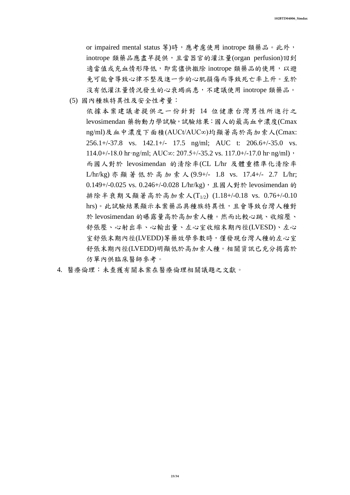or impaired mental status 等)時,應考慮使用 inotrope 類藥品。此外, inotrope 類藥品應盡早提供,且當器官的灌注量(organ perfusion)回到 適當值或充血情形降低,即需儘快撤除 inotrope 類藥品的使用,以避 免可能會導致心律不整及進一步的心肌損傷而導致死亡率上升。至於 沒有低灌注量情況發生的心衰竭病患,不建議使用 inotrope 類藥品。

- (5) 國內種族特異性及安全性考量:
	- 依據本案建議者提供之一份針對 14 位健康台灣男性所進行之 levosimendan 藥物動力學試驗,試驗結果:國人的最高血中濃度(Cmax ng/ml)及血中濃度下面積(AUCt/AUC∞)均顯著高於高加索人(Cmax: 256.1+/-37.8 vs. 142.1+/- 17.5 ng/ml; AUC t: 206.6+/-35.0 vs. 114.0+/-18.0 hr·ng/ml; AUC∞: 207.5+/-35.2 vs. 117.0+/-17.0 hr·ng/ml), 而國人對於 levosimendan 的清除率(CL L/hr 及體重標準化清除率 L/hr/kg) 亦 顯 著 低 於 高 加 索 人 (9.9+/- 1.8 vs. 17.4+/- 2.7 L/hr; 0.149+/-0.025 vs. 0.246+/-0.028 L/hr/kg), 且國人對於 levosimendan 的 排除半衰期又顯著高於高加索人(T<sub>1/2</sub>) (1.18+/-0.18 vs. 0.76+/-0.10 hrs)。此試驗結果顯示本案藥品具種族特異性,且會導致台灣人種對 於 levosimendan 的曝露量高於高加索人種。然而比較心跳、收縮壓、 舒張壓、心射出率、心輸出量、左心室收縮末期內徑(LVESD)、左心 室舒張末期內徑(LVEDD)等藥效學參數時,僅發現台灣人種的左心室 舒張末期內徑(LVEDD)明顯低於高加索人種。相關資訊已充分揭露於 仿單內供臨床醫師參考。
- 4. 醫療倫理:未查獲有關本案在醫療倫理相關議題之文獻。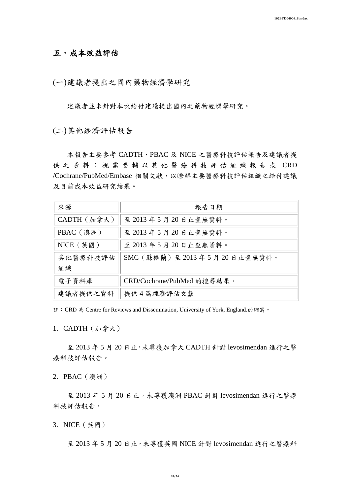## 五、成本效益評估

(一)建議者提出之國內藥物經濟學研究

建議者並未針對本次給付建議提出國內之藥物經濟學研究。

(二)其他經濟評估報告

本報告主要參考 CADTH、PBAC 及 NICE 之醫療科技評估報告及建議者提 供 之 資 料 ; 視 需 要 輔 以 其 他 醫 療 科 技 評 估 組 織 報 告 或 CRD /Cochrane/PubMed/Embase 相關文獻,以瞭解主要醫療科技評估組織之給付建議 及目前成本效益研究結果。

| 來源                           | 報告日期                         |
|------------------------------|------------------------------|
| $CADTH$ $(m$ $*$ $\star$ $)$ | 至 2013年5月20日止查無資料。           |
| PBAC (澳洲)                    | 至 2013年5月20日止查無資料。           |
| $NICE$ (英國)                  | 至 2013年5月20日止查無資料。           |
| 其他醫療科技評估<br>組織               | SMC (蘇格蘭) 至 2013年5月20日止查無資料。 |
| 電子資料庫                        | CRD/Cochrane/PubMed 的搜尋結果。   |
| 建議者提供之資料                     | 提供4篇經濟評估文獻                   |

註:CRD 為 Centre for Reviews and Dissemination, University of York, England.的縮寫。

1. CADTH(加拿大)

至 2013 年 5 月 20 日止,未尋獲加拿大 CADTH 針對 levosimendan 進行之醫 療科技評估報告。

2. PBAC(澳洲)

至 2013 年 5 月 20 日止,未尋獲澳洲 PBAC 針對 levosimendan 進行之醫療 科技評估報告。

3. NICE(英國)

至 2013 年 5 月 20 日止,未尋獲英國 NICE 針對 levosimendan 進行之醫療科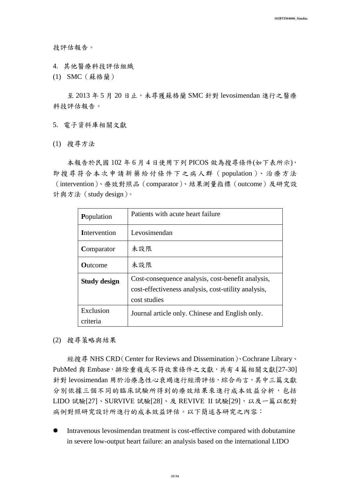技評估報告。

4. 其他醫療科技評估組織

(1) SMC(蘇格蘭)

至 2013 年 5 月 20 日止,未尋獲蘇格蘭 SMC 針對 levosimendan 進行之醫療 科技評估報告。

5. 電子資料庫相關文獻

(1) 搜尋方法

本報告於民國 102 年 6 月 4 日使用下列 PICOS 做為搜尋條件(如下表所示), 即搜尋符合本次申請新藥給付條件下之病人群(population)、治療方法 (intervention)、療效對照品(comparator)、結果測量指標(outcome)及研究設 計與方法(study design)。

| Population            | Patients with acute heart failure                                                                                        |
|-----------------------|--------------------------------------------------------------------------------------------------------------------------|
| Intervention          | Levosimendan                                                                                                             |
| Comparator            | 未設限                                                                                                                      |
| <b>Outcome</b>        | 未設限                                                                                                                      |
| <b>Study design</b>   | Cost-consequence analysis, cost-benefit analysis,<br>cost-effectiveness analysis, cost-utility analysis,<br>cost studies |
| Exclusion<br>criteria | Journal article only. Chinese and English only.                                                                          |

(2) 搜尋策略與結果

經搜尋 NHS CRD (Center for Reviews and Dissemination)、Cochrane Library、 PubMed 與 Embase,排除重複或不符收案條件之文獻,共有4篇相關文獻[27-30] 針對 levosimendan 用於治療急性心衰竭進行經濟評估,綜合而言,其中三篇文獻 分別依據三個不同的臨床試驗所得到的療效結果來進行成本效益分析,包括 LIDO 試驗[27]、SURVIVE 試驗[28]、及 REVIVE II 試驗[29],以及一篇以配對 病例對照研究設計所進行的成本效益評估。以下簡述各研究之內容:

 Intravenous levosimendan treatment is cost-effective compared with dobutamine in severe low-output heart failure: an analysis based on the international LIDO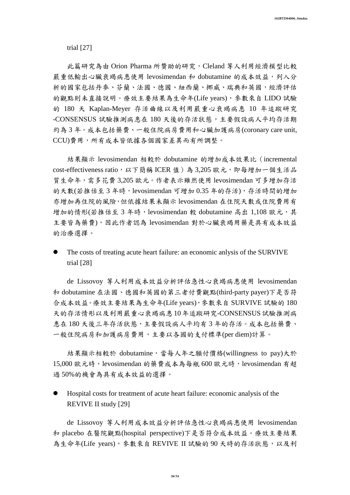trial [27]

此篇研究為由 Orion Pharma 所贊助的研究,Cleland 等人利用經濟模型比較 嚴重低輸出心臟衰竭病患使用 levosimendan 和 dobutamine 的成本效益,列入分 析的國家包括丹麥、芬蘭、法國、德國、紐西蘭、挪威、瑞典和英國,經濟評估 的觀點則未直接說明。療效主要結果為生命年(Life years),參數來自 LIDO 試驗 的 180 天 Kaplan-Meyer 存活曲線以及利用嚴重心衰竭病患 10 年追蹤研究 -CONSENSUS 試驗推測病患在 180 天後的存活狀態,主要假設病人平均存活期 約為 3 年。成本包括藥費、一般住院病房費用和心臟加護病房(coronary care unit, CCU)費用,所有成本皆依據各個國家差異而有所調整。

結果顯示 levosimendan 相較於 dobutamine 的增加成本效果比(incremental cost-effectiveness ratio,以下簡稱 ICER 值)為 3,205 歐元,即每增加一個生活品 質生命年,需多花費 3,205 歐元。作者表示雖然使用 levosimendan 可多增加存活 的天數(若推估至 3 年時,levosimendan 可增加 0.35 年的存活),存活時間的增加 亦增加再住院的風險,但依據結果未顯示 levosimendan 在住院天數或住院費用有 增加的情形(若推估至 3年時, levosimendan 較 dobutamine 高出 1,108 歐元,其 主要皆為藥費),因此作者認為 levosimendan 對於心臟衰竭用藥是具有成本效益 的治療選擇。

 The costs of treating acute heart failure: an economic anlysis of the SURVIVE trial [28]

de Lissovoy 等人利用成本效益分析評估急性心衰竭病患使用 levosimendan 和 dobutamine 在法國、德國和英國的第三者付費觀點(third-party payer)下是否符 合成本效益。療效主要結果為生命年(Life years),參數來自 SURVIVE 試驗的 180 天的存活情形以及利用嚴重心衰竭病患10年追蹤研究-CONSENSUS試驗推測病 患在 180 天後三年存活狀態,主要假設病人平均有 3 年的存活。成本包括藥費、 一般住院病房和加護病房費用,主要以各國的支付標準(per diem)計算。

結果顯示相較於 dobutamine,當每人年之願付價格(willingness to pay)大於 15,000 歐元時, levosimendan 的藥費成本為每瓶 600 歐元時, levosimendan 有超 過 50%的機會為具有成本效益的選擇。

 Hospital costs for treatment of acute heart failure: economic analysis of the REVIVE II study [29]

de Lissovoy 等人利用成本效益分析評估急性心衰竭病患使用 levosimendan 和 placebo 在醫院觀點(hospital perspective)下是否符合成本效益。療效主要結果 為生命年(Life years),參數來自 REVIVE II 試驗的 90 天時的存活狀態,以及利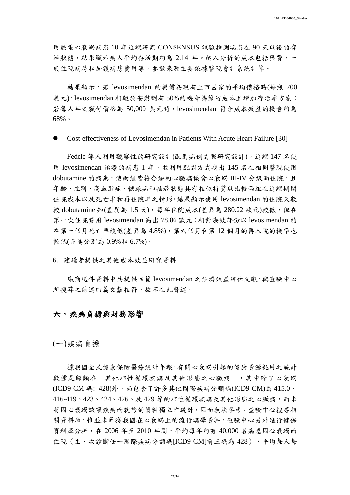用嚴重心衰竭病患 10 年追蹤研究-CONSENSUS 試驗推測病患在 90 天以後的存 活狀態,結果顯示病人平均存活期約為 2.14 年。納入分析的成本包括藥費、一 般住院病房和加護病房費用等,參數來源主要依據醫院會計系統計算。

結果顯示,若 levosimendan 的藥價為現有上市國家的平均價格時(每瓶 700 美元), levosimendan 相較於安慰劑有 50%的機會為節省成本且增加存活率方案; 若每人年之願付價格為 50,000 美元時,levosimendan 符合成本效益的機會約為 68%。

Cost-effectiveness of Levosimendan in Patients With Acute Heart Failure [30]

Fedele 等人利用觀察性的研究設計(配對病例對照研究設計),追蹤 147 名使 用 levosimendan 治療的病患 1年,並利用配對方式找出 145 名在相同醫院使用 dobutamine 的病患,使兩組皆符合紐約心臟病協會心衰竭 III-IV 分級而住院,且 年齡、性別、高血脂症、糖尿病和抽菸狀態具有相似特質以比較兩組在追蹤期間 住院成本以及死亡率和再住院率之情形。結果顯示使用 levosimendan 的住院天數 較 dobutamine 短(差異為 1.5 天),每年住院成本(差異為 280.22 歐元)較低,但在 第一次住院費用 levosimendan 高出 78.86 歐元;相對療效部份以 levosimendan 的 在第一個月死亡率較低(差異為 4.8%),第六個月和第 12 個月的再入院的機率也 較低(差異分別為 0.9%和 6.7%)。

6. 建議者提供之其他成本效益研究資料

廠商送件資料中共提供四篇 levosimendan 之經濟效益評估文獻,與查驗中心 所搜尋之前述四篇文獻相符,故不在此贅述。

### 六、疾病負擔與財務影響

(一)疾病負擔

據我國全民健康保險醫療統計年報,有關心衰竭引起的健康資源耗用之統計 數據是歸類在「其他肺性循環疾病及其他形態之心臟病」,其中除了心衰竭 (ICD9-CM 碼: 428)外,尚包含了許多其他國際疾病分類碼(ICD9-CM)為 415.0、 416-419、423、424、426、及 429 等的肺性循環疾病及其他形態之心臟病,而未 將因心衰竭該項疾病而就診的資料獨立作統計,因而無法參考。查驗中心搜尋相 關資料庫,惟並未尋獲我國在心衰竭上的流行病學資料。查驗中心另外進行健保 資料庫分析,在 2006年至 2010年間,平均每年約有 40,000 名病患因心衰竭而 住院(主、次診斷任一國際疾病分類碼[ICD9-CM]前三碼為 428),平均每人每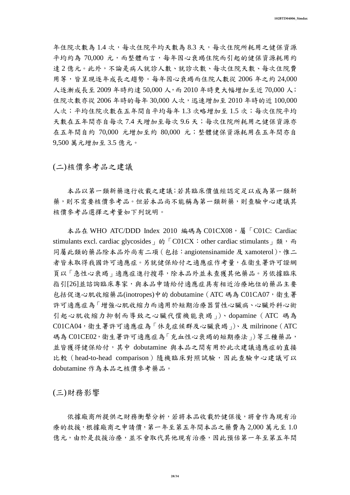年住院次數為 1.4 次,每次住院平均天數為 8.3 天,每次住院所耗用之健保資源 平均約為 70,000 元,而整體而言,每年因心衰竭住院而引起的健保資源耗用約 達 2 億元。此外,不論是病人就診人數、就診次數、每次住院天數、每次住院費 用等,皆呈現逐年成長之趨勢。每年因心衰竭而住院人數從 2006 年之約 24,000 人逐漸成長至 2009 年時約達 50,000 人,而 2010 年時更大幅增加至近 70,000 人; 住院次數亦從 2006 年時的每年 30,000 人次,迅速增加至 2010 年時的近 100,000 人次;平均住院次數在五年間自平均每年 1.3 次略增加至 1.5 次;每次住院平均 天數在五年間亦自每次 7.4 天增加至每次 9.6 天;每次住院所耗用之健保資源亦 在五年間自約 70,000 元增加至約 80,000 元;整體健保資源耗用在五年間亦自 9,500 萬元增加至 3.5 億元。

(二)核價參考品之建議

本品以第一類新藥進行收載之建議;若其臨床價值經認定足以成為第一類新 藥,則不需要核價參考品。但若本品尚不能稱為第一類新藥,則查驗中心建議其 核價參考品選擇之考量如下列說明。

本品在 WHO ATC/DDD Index 2010 編碼為 C01CX08,屬「C01C: Cardiac stimulants excl. cardiac glycosides  $\frac{1}{100}$   $\frac{1}{100}$  CO1CX: other cardiac stimulants  $\frac{1}{100}$ ,  $\frac{1}{100}$ 同屬此類的藥品除本品外尚有二項(包括:angiotensinamide 及 xamoterol),惟二 者皆未取得我國許可適應症。另就健保給付之適應症作考量,在衛生署許可證網 頁以「急性心衰竭」適應症進行搜尋,除本品外並未查獲其他藥品。另依據臨床 指引[26]並諮詢臨床專家,與本品申請給付適應症具有相近治療地位的藥品主要 包括促進心肌收縮藥品(inotropes)中的 dobutamine(ATC 碼為 C01CA07,衛生署 許可適應症為「增強心肌收縮力而適用於短期治療器質性心臟病、心臟外科心術 引起心肌收縮力抑制而導致之心臟代償機能衰竭」)、dopamine(ATC 碼為 C01CA04,衛生署許可適應症為「休克症候群及心臟衰竭」)、及 milrinone(ATC 碼為 C01CE02, 衛生署許可適應症為「充血性心衰竭的短期療法」) 等三種藥品, 並皆獲得健保給付,其中 dobutamine 與本品之間有用於此次建議適應症的直接 比較(head-to-head comparison)隨機臨床對照試驗,因此查驗中心建議可以 dobutamine 作為本品之核價參考藥品。

(三)財務影響

依據廠商所提供之財務衝擊分析,若將本品收載於健保後,將會作為現有治 療的救援,根據廠商之申請價,第一年至第五年間本品之藥費為 2,000 萬元至1.0 億元,由於是救援治療,並不會取代其他現有治療,因此預估第一年至第五年間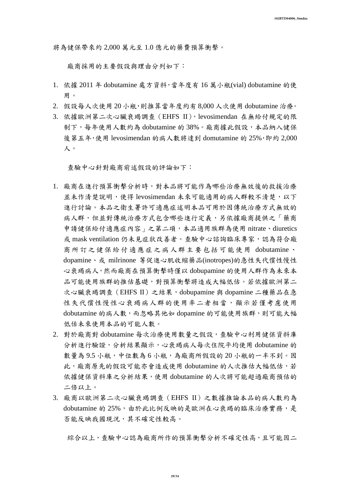將為健保帶來約 2,000 萬元至 1.0 億元的藥費預算衝擊。

廠商採用的主要假設與理由分列如下:

- 1. 依據 2011 年 dobutamine 處方資料,當年度有 16 萬小瓶(vial) dobutamine 的使 用。
- 2. 假設每人次使用 20 小瓶,則推算當年度約有 8,000 人次使用 dobutamine 治療。
- 3. 依據歐洲第二次心臟衰竭調查 (EHFS II), levosimendan 在無給付規定的限 制下,每年使用人數約為 dobutamine 的 38%。廠商據此假設,本品納入健保 後第五年,使用 levosimendan 的病人數將達到 domutamine 的 25%, 即約 2,000 人。

查驗中心針對廠商前述假設的評論如下:

- 1. 廠商在進行預算衝擊分析時,對本品將可能作為哪些治療無效後的救援治療 並未作清楚說明,使得 levosimendan 未來可能適用的病人群較不清楚,以下 進行討論。本品之衛生署許可適應症述明本品可用於因傳統治療方式無效的 病人群,但並對傳統治療方式包含哪些進行定義,另依據廠商提供之「藥商 申請健保給付適應症內容」之第二項,本品適用族群為使用 nitrate、diuretics 或 mask ventilation 仍未見症狀改善者。查驗中心諮詢臨床專家,認為符合廠 商所訂之健保給 付 適應症 之病人群 主 要包括可能使用 dobutamine、 dopamine、或 milrinone 等促進心肌收縮藥品(inotropes)的急性失代償性慢性 心衰竭病人,然而廠商在預算衝擊時僅以 dobupamine 的使用人群作為未來本 品可能使用族群的推估基礎,對預算衝擊將造成大幅低估。若依據歐洲第二 次心臟衰竭調查 (EHFS II) 之結果, dobupamine 與 dopamine 二種藥品在急 性失代償性慢性心衰竭病人群的使用率二者相當,顯示若僅考慮使用 dobutamine 的病人數,而忽略其他如 dopamine 的可能使用族群,則可能大幅 低估未來使用本品的可能人數。
- 2. 對於廠商對 dobutamine 每次治療使用數量之假設,查驗中心利用健保資料庫 分析進行驗證,分析結果顯示,心衰竭病人每次住院平均使用 dobutamine 的 數量為 9.5 小瓶,中位數為 6 小瓶,為廠商所假設的 20 小瓶的一半不到。因 此,廠商原先的假設可能亦會造成使用 dobutamine 的人次推估大幅低估,若 依據健保資料庫之分析結果,使用 dobutamine 的人次將可能超過廠商預估的 二倍以上。
- 3. 廠商以歐洲第二次心臟衰竭調查(EHFS II)之數據推論本品的病人數約為 dobutamine 的 25%,由於此比例反映的是歐洲在心衰竭的臨床治療實務,是 否能反映我國現況,其不確定性較高。

綜合以上,查驗中心認為廠商所作的預算衝擊分析不確定性高,且可能因二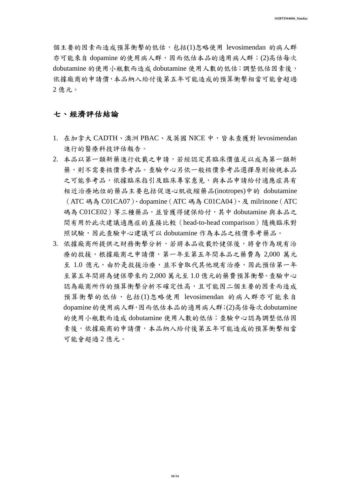個主要的因素而造成預算衝擊的低估,包括(1)忽略使用 levosimendan 的病人群 亦可能來自 dopamine 的使用病人群,因而低估本品的適用病人群;(2)高估每次 dobutamine 的使用小瓶數而造成 dobutamine 使用人數的低估;調整低估因素後, 依據廠商的申請價,本品納入給付後第五年可能造成的預算衝擊相當可能會超過 2 億元。

### 七、經濟評估結論

- 1. 在加拿大 CADTH、澳洲 PBAC、及英國 NICE 中,皆未查獲對 levosimendan 進行的醫療科技評估報告。
- 2. 本品以第一類新藥進行收載之申請,若經認定其臨床價值足以成為第一類新 藥,則不需要核價參考品。查驗中心另依一般核價參考品選擇原則檢視本品 之可能參考品,依據臨床指引及臨床專家意見,與本品申請給付適應症具有 相近治療地位的藥品主要包括促進心肌收縮藥品(inotropes)中的 dobutamine (ATC 碼為 C01CA07)、dopamine(ATC 碼為 C01CA04)、及 milrinone(ATC 碼為 C01CE02)等三種藥品,並皆獲得健保給付,其中 dobutamine 與本品之 間有用於此次建議適應症的直接比較(head-to-head comparison)隨機臨床對 照試驗,因此查驗中心建議可以 dobutamine 作為本品之核價參考藥品。
- 3. 依據廠商所提供之財務衝擊分析,若將本品收載於健保後,將會作為現有治 療的救援,根據廠商之申請價,第一年至第五年間本品之藥費為 2,000 萬元 至 1.0 億元,由於是救援治療,並不會取代其他現有治療,因此預估第一年 至第五年間將為健保帶來約 2,000 萬元至 1.0 億元的藥費預算衝擊。查驗中心 認為廠商所作的預算衝擊分析不確定性高,且可能因二個主要的因素而造成 預算衝擊的低估,包括(1)忽略使用 levosimendan 的病人群亦可能來自 dopamine的使用病人群,因而低估本品的適用病人群;(2)高估每次dobutamine 的使用小瓶數而造成 dobutamine 使用人數的低估;查驗中心認為調整低估因 素後,依據廠商的申請價,本品納入給付後第五年可能造成的預算衝擊相當 可能會超過 2 億元。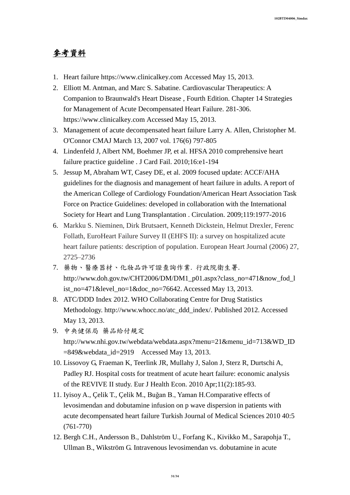## 參考資料

- 1. Heart failure [https://www.clinicalkey.com](https://www.clinicalkey.com/) Accessed May 15, 2013.
- 2. [Elliott M. Antman, and M](https://www.clinicalkey.com/#author1)arc [S. Sabatine.](https://www.clinicalkey.com/#author1) Cardiovascular Therapeutics: A Companion to Braunwald's Heart Disease , Fourth Edition. Chapter 14 Strategies for Management of Acute Decompensated Heart Failure. 281-306. [https://www.clinicalkey.com](https://www.clinicalkey.com/) Accessed May 15, 2013.
- 3. [Management of acute decompensated heart failure](http://www.cmaj.ca/content/176/6/797.full) Larry A. Allen, Christopher M. O'Connor CMAJ March 13, 2007 vol. 176(6) 797-805
- 4. Lindenfeld J, Albert NM, Boehmer JP, et al. [HFSA 2010 comprehensive heart](http://www.heartfailureguideline.org/_assets/document/Guidelines.pdf)  [failure practice guideline](http://www.heartfailureguideline.org/_assets/document/Guidelines.pdf) . J Card Fail. 2010;16:e1-194
- 5. Jessup M, Abraham WT, Casey DE, et al. [2009 focused update: ACCF/AHA](http://circ.ahajournals.org/content/119/14/1977.long)  [guidelines for the diagnosis and management of heart failure in adults. A report of](http://circ.ahajournals.org/content/119/14/1977.long)  [the American College of Cardiology Foundation/American Heart Association Task](http://circ.ahajournals.org/content/119/14/1977.long)  Force on Practice [Guidelines: developed in collaboration with the International](http://circ.ahajournals.org/content/119/14/1977.long)  [Society for Heart and Lung Transplantation](http://circ.ahajournals.org/content/119/14/1977.long) . Circulation. 2009;119:1977-2016
- 6. Markku S. Nieminen, Dirk Brutsaert, Kenneth Dickstein, Helmut Drexler, Ferenc Follath, EuroHeart Failure Survey II (EHFS II): a survey on hospitalized acute heart failure patients: description of population. European Heart Journal (2006) 27, 2725–2736
- 7. 藥物、醫療器材、化妝品許可證查詢作業. 行政院衛生署. [http://www.doh.gov.tw/CHT2006/DM/DM1\\_p01.aspx?class\\_no=471&now\\_fod\\_l](http://www.doh.gov.tw/CHT2006/DM/DM1_p01.aspx?class_no=471&now_fod_list_no=471&level_no=1&doc_no=76642) [ist\\_no=471&level\\_no=1&doc\\_no=76642.](http://www.doh.gov.tw/CHT2006/DM/DM1_p01.aspx?class_no=471&now_fod_list_no=471&level_no=1&doc_no=76642) Accessed May 13, 2013.
- 8. ATC/DDD Index 2012. WHO Collaborating Centre for Drug Statistics Methodology. [http://www.whocc.no/atc\\_ddd\\_index/.](http://www.whocc.no/atc_ddd_index/) Published 2012. Accessed May 13, 2013.
- 9. 中央健保局 藥品給付規定 [http://www.nhi.gov.tw/webdata/webdata.aspx?menu=21&menu\\_id=713&WD\\_ID](http://www.nhi.gov.tw/webdata/webdata.aspx?menu=21&menu_id=713&WD_ID=849&webdata_id=2919) [=849&webdata\\_id=2919](http://www.nhi.gov.tw/webdata/webdata.aspx?menu=21&menu_id=713&WD_ID=849&webdata_id=2919) Accessed May 13, 2013.
- 10. Lissovoy G, Fraeman K, Teerlink JR, Mullahy J, Salon J, Sterz R, Durtschi A, Padley RJ. [Hospital costs for treatment of acute heart failure: economic analysis](http://www.ncbi.nlm.nih.gov/pubmed/19582491)  [of the REVIVE II study.](http://www.ncbi.nlm.nih.gov/pubmed/19582491) Eur J Health Econ. 2010 Apr;11(2):185-93.
- 11. Iyisoy A., Ç elik T., Ç elik M., Buǧan B., Yaman H[.Comparative effects of](http://embase.com/search/results?subaction=viewrecord&rid=12&page=1&L359846428)  [levosimendan and dobutamine infusion on p wave dispersion in patients with](http://embase.com/search/results?subaction=viewrecord&rid=12&page=1&L359846428)  [acute decompensated heart failure](http://embase.com/search/results?subaction=viewrecord&rid=12&page=1&L359846428) Turkish Journal of Medical Sciences 2010 40:5 (761-770)
- 12. Bergh C.H., Andersson B., Dahlström U., Forfang K., Kivikko M., Sarapohja T., Ullman B., Wikström G. [Intravenous levosimendan vs. dobutamine in acute](http://embase.com/search/results?subaction=viewrecord&rid=16&page=1&L358542464)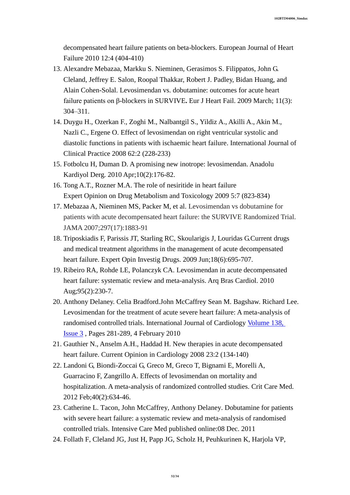[decompensated heart failure patients on beta-blockers.](http://embase.com/search/results?subaction=viewrecord&rid=16&page=1&L358542464) European Journal of Heart Failure 2010 12:4 (404-410)

- 13. [Alexandre Mebazaa,](http://www.ncbi.nlm.nih.gov/pubmed/?term=Mebazaa%20A%5Bauth%5D) [Markku S. Nieminen,](http://www.ncbi.nlm.nih.gov/pubmed/?term=Nieminen%20MS%5Bauth%5D) [Gerasimos S. Filippatos,](http://www.ncbi.nlm.nih.gov/pubmed/?term=Filippatos%20GS%5Bauth%5D) [John G.](http://www.ncbi.nlm.nih.gov/pubmed/?term=Cleland%20JG%5Bauth%5D)  [Cleland,](http://www.ncbi.nlm.nih.gov/pubmed/?term=Cleland%20JG%5Bauth%5D) [Jeffrey E. Salon,](http://www.ncbi.nlm.nih.gov/pubmed/?term=Salon%20JE%5Bauth%5D) [Roopal Thakkar,](http://www.ncbi.nlm.nih.gov/pubmed/?term=Thakkar%20R%5Bauth%5D) [Robert J. Padley,](http://www.ncbi.nlm.nih.gov/pubmed/?term=Padley%20RJ%5Bauth%5D) [Bidan Huang,](http://www.ncbi.nlm.nih.gov/pubmed/?term=Huang%20B%5Bauth%5D) and [Alain Cohen-Solal.](http://www.ncbi.nlm.nih.gov/pubmed/?term=Cohen-Solal%20A%5Bauth%5D) Levosimendan vs. dobutamine: outcomes for acute heart failure patients on β-blockers in SURVIVE**.** Eur J Heart Fail. 2009 March; 11(3): 304–311.
- 14. Duygu H., Ozerkan F., Zoghi M., Nalbantgil S., Yildiz A., Akilli A., Akin M., Nazli C., Ergene O. [Effect of levosimendan on right ventricular systolic and](http://embase.com/search/results?subaction=viewrecord&rid=3&page=2&L351099436)  [diastolic functions in patients with ischaemic heart failure.](http://embase.com/search/results?subaction=viewrecord&rid=3&page=2&L351099436) International Journal of Clinical Practice 2008 62:2 (228-233)
- 15. Fotbolcu H, Duman D. [A promising new inotrope: levosimendan.](http://www.ncbi.nlm.nih.gov/pubmed/20382619) Anadolu Kardiyol Derg. 2010 Apr;10(2):176-82.
- 16. Tong A.T., Rozner M.A. [The role of nesiritide in heart failure](http://embase.com/search/results?subaction=viewrecord&rid=19&page=1&L354944289) Expert Opinion on Drug Metabolism and Toxicology 2009 5:7 (823-834)
- 17. Mebazaa A, Nieminen MS, Packer M, et al. Levosimendan vs dobutamine for patients with acute decompensated heart failure: the SURVIVE Randomized Trial. JAMA 2007;297(17):1883-91
- 18. Triposkiadis F, Parissis JT, Starling RC, Skoularigis J, Louridas [G.Current drugs](http://www.ncbi.nlm.nih.gov/pubmed/19426120)  [and medical treatment algorithms in the management of acute decompensated](http://www.ncbi.nlm.nih.gov/pubmed/19426120)  [heart failure.](http://www.ncbi.nlm.nih.gov/pubmed/19426120) Expert Opin Investig Drugs. 2009 Jun;18(6):695-707.
- 19. Ribeiro RA, Rohde LE, Polanczyk CA. Levosimendan [in acute decompensated](http://www.ncbi.nlm.nih.gov/pubmed/20549133)  [heart failure: systematic](http://www.ncbi.nlm.nih.gov/pubmed/20549133) review and meta-analysis. Arq Bras Cardiol. 2010 Aug;95(2):230-7.
- 20. [Anthony](http://www.internationaljournalofcardiology.com/article/S0167-5273(08)00979-0/abstract) Delaney. Celia [Bradford.](http://www.internationaljournalofcardiology.com/article/S0167-5273(08)00979-0/abstract)John [McCaffrey](http://www.internationaljournalofcardiology.com/article/S0167-5273(08)00979-0/abstract) Sean M. [Bagshaw.](http://www.internationaljournalofcardiology.com/article/S0167-5273(08)00979-0/abstract) [Richard](http://www.internationaljournalofcardiology.com/article/S0167-5273(08)00979-0/abstract) Lee. Levosimendan for the treatment of acute severe heart failure: A meta-analysis of randomised controlled trials. International Journal of Cardiology [Volume 138,](http://www.internationaljournalofcardiology.com/issues?issue_key=S0167-5273(10)X0002-X)  [Issue 3](http://www.internationaljournalofcardiology.com/issues?issue_key=S0167-5273(10)X0002-X) , Pages 281-289, 4 February 2010
- 21. Gauthier N., Anselm A.H., Haddad H. [New therapies in acute decompensated](http://embase.com/search/results?subaction=viewrecord&rid=1&page=2&L351321581)  [heart failure.](http://embase.com/search/results?subaction=viewrecord&rid=1&page=2&L351321581) Current Opinion in Cardiology 2008 23:2 (134-140)
- 22. [Landoni G,](http://www.ncbi.nlm.nih.gov/pubmed?term=Landoni%20G%5BAuthor%5D&cauthor=true&cauthor_uid=21963578) [Biondi-Zoccai G,](http://www.ncbi.nlm.nih.gov/pubmed?term=Biondi-Zoccai%20G%5BAuthor%5D&cauthor=true&cauthor_uid=21963578) [Greco M,](http://www.ncbi.nlm.nih.gov/pubmed?term=Greco%20M%5BAuthor%5D&cauthor=true&cauthor_uid=21963578) [Greco T,](http://www.ncbi.nlm.nih.gov/pubmed?term=Greco%20T%5BAuthor%5D&cauthor=true&cauthor_uid=21963578) [Bignami E,](http://www.ncbi.nlm.nih.gov/pubmed?term=Bignami%20E%5BAuthor%5D&cauthor=true&cauthor_uid=21963578) [Morelli A,](http://www.ncbi.nlm.nih.gov/pubmed?term=Morelli%20A%5BAuthor%5D&cauthor=true&cauthor_uid=21963578) [Guarracino F,](http://www.ncbi.nlm.nih.gov/pubmed?term=Guarracino%20F%5BAuthor%5D&cauthor=true&cauthor_uid=21963578) [Zangrillo A.](http://www.ncbi.nlm.nih.gov/pubmed?term=Zangrillo%20A%5BAuthor%5D&cauthor=true&cauthor_uid=21963578) Effects of levosimendan on mortality and hospitalization. A meta-analysis of randomized controlled studies. [Crit Care Med.](http://www.ncbi.nlm.nih.gov/pubmed/21963578) 2012 Feb;40(2):634-46.
- 23. Catherine L. Tacon, John McCaffrey, Anthony Delaney. Dobutamine for patients with severe heart failure: a systematic review and meta-analysis of randomised controlled trials. Intensive Care Med published online:08 Dec. 2011
- 24. Follath F, Cleland JG, Just H, Papp JG, Scholz H, Peuhkurinen K, Harjola VP,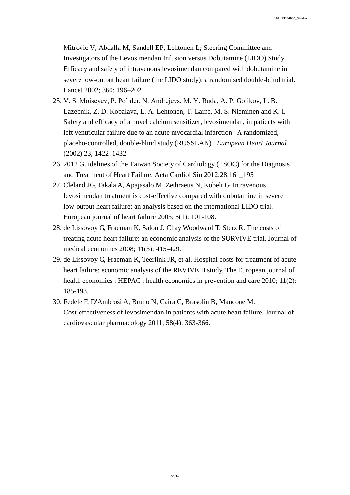Mitrovic V, Abdalla M, Sandell EP, Lehtonen L; Steering Committee and Investigators of the Levosimendan Infusion versus Dobutamine (LIDO) Study. Efficacy and safety of intravenous levosimendan compared with dobutamine in severe low-output heart failure (the LIDO study): a randomised double-blind trial. Lancet 2002; 360: 196–202

- 25. V. S. Moiseyev, P. Po˜ der, N. Andrejevs, M. Y. Ruda, A. P. Golikov, L. B. Lazebnik, Z. D. Kobalava, L. A. Lehtonen, T. Laine, M. S. Nieminen and K. I. Safety and efficacy of a novel calcium sensitizer, levosimendan, in patients with left ventricular failure due to an acute myocardial infarction--A randomized, placebo-controlled, double-blind study (RUSSLAN) *. European Heart Journal*  (2002) 23, 1422–1432
- 26. 2012 Guidelines of the Taiwan Society of Cardiology (TSOC) for the Diagnosis and Treatment of Heart Failure. Acta Cardiol Sin 2012;28:161*\_*195
- 27. Cleland JG, Takala A, Apajasalo M, Zethraeus N, Kobelt G. Intravenous levosimendan treatment is cost-effective compared with dobutamine in severe low-output heart failure: an analysis based on the international LIDO trial. European journal of heart failure 2003; 5(1): 101-108.
- 28. de Lissovoy G, Fraeman K, Salon J, Chay Woodward T, Sterz R. The costs of treating acute heart failure: an economic analysis of the SURVIVE trial. Journal of medical economics 2008; 11(3): 415-429.
- 29. de Lissovoy G, Fraeman K, Teerlink JR, et al. Hospital costs for treatment of acute heart failure: economic analysis of the REVIVE II study. The European journal of health economics : HEPAC : health economics in prevention and care 2010; 11(2): 185-193.
- 30. Fedele F, D'Ambrosi A, Bruno N, Caira C, Brasolin B, Mancone M. Cost-effectiveness of levosimendan in patients with acute heart failure. Journal of cardiovascular pharmacology 2011; 58(4): 363-366.